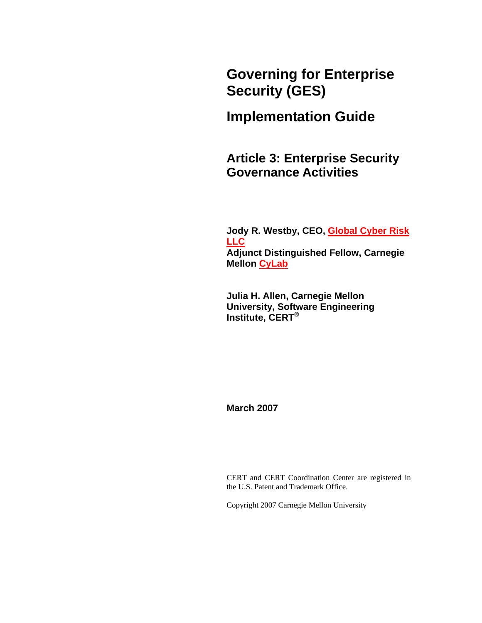**Governing for Enterprise Security (GES)** 

# **Implementation Guide**

**Article 3: Enterprise Security Governance Activities** 

**Jody R. Westby, CEO, [Global Cyber Risk](http://www.globalcyberrisk.com/)  [LLC](http://www.globalcyberrisk.com/) Adjunct Distinguished Fellow, Carnegie Mellon [CyLab](http://www.cylab.cmu.edu/)**

**Julia H. Allen, Carnegie Mellon University, Software Engineering Institute, CERT®**

**March 2007**

CERT and CERT Coordination Center are registered in the U.S. Patent and Trademark Office.

Copyright 2007 Carnegie Mellon University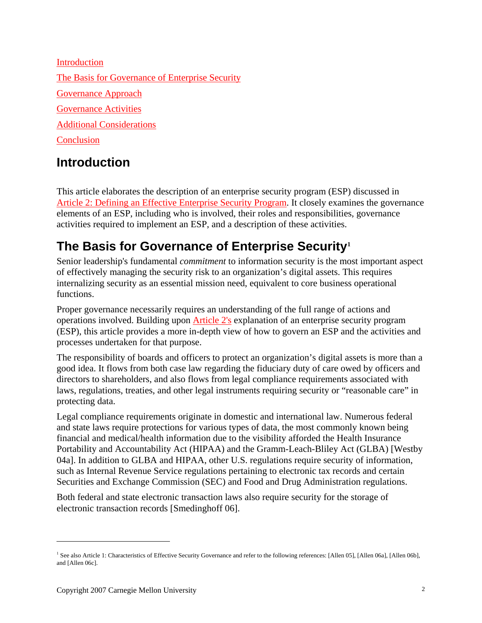<span id="page-1-0"></span>[Introduction](#page-1-0) [The Basis for Governance of Enterprise Security](#page-1-0) [Governance Approach](#page-4-0) [Governance Activities](#page-4-0) [Additional Considerations](#page-33-0) **[Conclusion](#page-35-0)** 

# **Introduction**

This article elaborates the description of an enterprise security program (ESP) discussed in [Article 2: Defining an Effective Enterprise Security Program](http://www.cert.org/archive/pdf/GES_IG_2_0703.pdf). It closely examines the governance elements of an ESP, including who is involved, their roles and responsibilities, governance activities required to implement an ESP, and a description of these activities.

# **The Basis for Governance of Enterprise Security[1](#page-1-1)**

Senior leadership's fundamental *commitment* to information security is the most important aspect of effectively managing the security risk to an organization's digital assets. This requires internalizing security as an essential mission need, equivalent to core business operational functions.

Proper governance necessarily requires an understanding of the full range of actions and operations involved. Building upon [Article 2's](http://www.cert.org/archive/pdf/GES_IG_2_0703.pdf) explanation of an enterprise security program (ESP), this article provides a more in-depth view of how to govern an ESP and the activities and processes undertaken for that purpose.

The responsibility of boards and officers to protect an organization's digital assets is more than a good idea. It flows from both case law regarding the fiduciary duty of care owed by officers and directors to shareholders, and also flows from legal compliance requirements associated with laws, regulations, treaties, and other legal instruments requiring security or "reasonable care" in protecting data.

Legal compliance requirements originate in domestic and international law. Numerous federal and state laws require protections for various types of data, the most commonly known being financial and medical/health information due to the visibility afforded the Health Insurance Portability and Accountability Act (HIPAA) and the Gramm-Leach-Bliley Act (GLBA) [Westby 04a]. In addition to GLBA and HIPAA, other U.S. regulations require security of information, such as Internal Revenue Service regulations pertaining to electronic tax records and certain Securities and Exchange Commission (SEC) and Food and Drug Administration regulations.

Both federal and state electronic transaction laws also require security for the storage of electronic transaction records [Smedinghoff 06].

 $\overline{a}$ 

<span id="page-1-1"></span><sup>&</sup>lt;sup>1</sup> See also Article 1: Characteristics of Effective Security Governance and refer to the following references: [Allen 05], [Allen 06a], [Allen 06b], and [Allen 06c].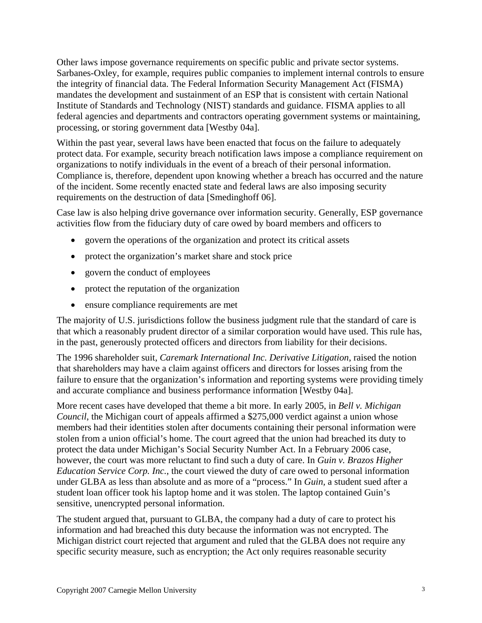Other laws impose governance requirements on specific public and private sector systems. Sarbanes-Oxley, for example, requires public companies to implement internal controls to ensure the integrity of financial data. The Federal Information Security Management Act (FISMA) mandates the development and sustainment of an ESP that is consistent with certain National Institute of Standards and Technology (NIST) standards and guidance. FISMA applies to all federal agencies and departments and contractors operating government systems or maintaining, processing, or storing government data [Westby 04a].

Within the past year, several laws have been enacted that focus on the failure to adequately protect data. For example, security breach notification laws impose a compliance requirement on organizations to notify individuals in the event of a breach of their personal information. Compliance is, therefore, dependent upon knowing whether a breach has occurred and the nature of the incident. Some recently enacted state and federal laws are also imposing security requirements on the destruction of data [Smedinghoff 06].

Case law is also helping drive governance over information security. Generally, ESP governance activities flow from the fiduciary duty of care owed by board members and officers to

- govern the operations of the organization and protect its critical assets
- protect the organization's market share and stock price
- govern the conduct of employees
- protect the reputation of the organization
- ensure compliance requirements are met

The majority of U.S. jurisdictions follow the business judgment rule that the standard of care is that which a reasonably prudent director of a similar corporation would have used. This rule has, in the past, generously protected officers and directors from liability for their decisions.

The 1996 shareholder suit, *Caremark International Inc. Derivative Litigation*, raised the notion that shareholders may have a claim against officers and directors for losses arising from the failure to ensure that the organization's information and reporting systems were providing timely and accurate compliance and business performance information [Westby 04a].

More recent cases have developed that theme a bit more. In early 2005, in *Bell v. Michigan Council*, the Michigan court of appeals affirmed a \$275,000 verdict against a union whose members had their identities stolen after documents containing their personal information were stolen from a union official's home. The court agreed that the union had breached its duty to protect the data under Michigan's Social Security Number Act. In a February 2006 case, however, the court was more reluctant to find such a duty of care. In *Guin v. Brazos Higher Education Service Corp. Inc.*, the court viewed the duty of care owed to personal information under GLBA as less than absolute and as more of a "process." In *Guin,* a student sued after a student loan officer took his laptop home and it was stolen. The laptop contained Guin's sensitive, unencrypted personal information.

The student argued that, pursuant to GLBA, the company had a duty of care to protect his information and had breached this duty because the information was not encrypted. The Michigan district court rejected that argument and ruled that the GLBA does not require any specific security measure, such as encryption; the Act only requires reasonable security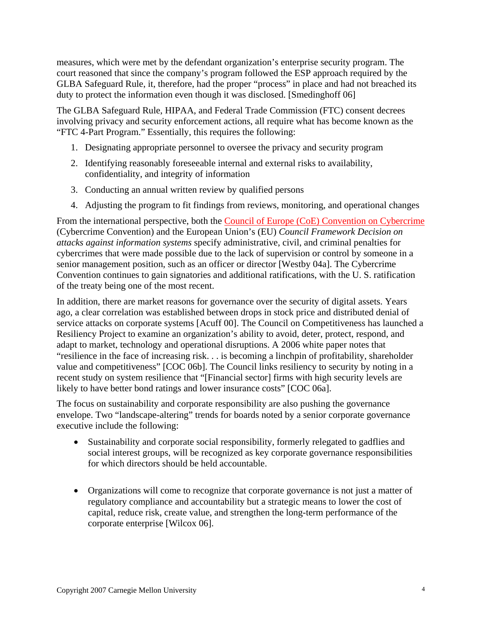measures, which were met by the defendant organization's enterprise security program. The court reasoned that since the company's program followed the ESP approach required by the GLBA Safeguard Rule, it, therefore, had the proper "process" in place and had not breached its duty to protect the information even though it was disclosed. [Smedinghoff 06]

The GLBA Safeguard Rule, HIPAA, and Federal Trade Commission (FTC) consent decrees involving privacy and security enforcement actions, all require what has become known as the "FTC 4-Part Program." Essentially, this requires the following:

- 1. Designating appropriate personnel to oversee the privacy and security program
- 2. Identifying reasonably foreseeable internal and external risks to availability, confidentiality, and integrity of information
- 3. Conducting an annual written review by qualified persons
- 4. Adjusting the program to fit findings from reviews, monitoring, and operational changes

From the international perspective, both the [Council of Europe \(CoE\) Convention on Cybercrime](http://www.usdoj.gov/criminal/cybercrime/COEFAQs.htm) (Cybercrime Convention) and the European Union's (EU) *Council Framework Decision on attacks against information systems* specify administrative, civil, and criminal penalties for cybercrimes that were made possible due to the lack of supervision or control by someone in a senior management position, such as an officer or director [Westby 04a]. The Cybercrime Convention continues to gain signatories and additional ratifications, with the U. S. ratification of the treaty being one of the most recent.

In addition, there are market reasons for governance over the security of digital assets. Years ago, a clear correlation was established between drops in stock price and distributed denial of service attacks on corporate systems [Acuff 00]. The Council on Competitiveness has launched a Resiliency Project to examine an organization's ability to avoid, deter, protect, respond, and adapt to market, technology and operational disruptions. A 2006 white paper notes that "resilience in the face of increasing risk. . . is becoming a linchpin of profitability, shareholder value and competitiveness" [COC 06b]. The Council links resiliency to security by noting in a recent study on system resilience that "[Financial sector] firms with high security levels are likely to have better bond ratings and lower insurance costs" [COC 06a].

The focus on sustainability and corporate responsibility are also pushing the governance envelope. Two "landscape-altering" trends for boards noted by a senior corporate governance executive include the following:

- Sustainability and corporate social responsibility, formerly relegated to gadflies and social interest groups, will be recognized as key corporate governance responsibilities for which directors should be held accountable.
- Organizations will come to recognize that corporate governance is not just a matter of regulatory compliance and accountability but a strategic means to lower the cost of capital, reduce risk, create value, and strengthen the long-term performance of the corporate enterprise [Wilcox 06].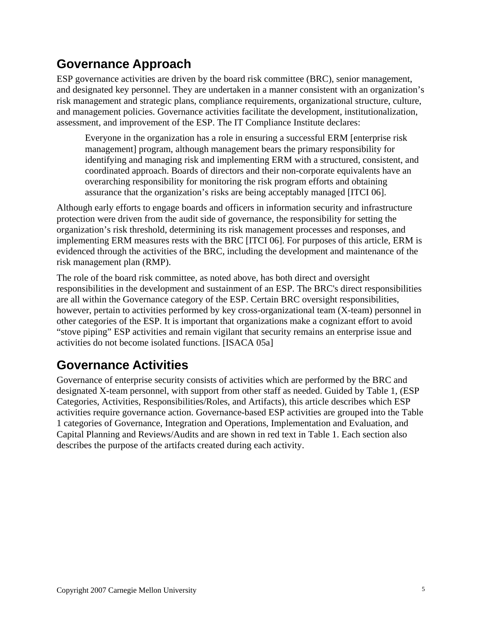# <span id="page-4-0"></span>**Governance Approach**

ESP governance activities are driven by the board risk committee (BRC), senior management, and designated key personnel. They are undertaken in a manner consistent with an organization's risk management and strategic plans, compliance requirements, organizational structure, culture, and management policies. Governance activities facilitate the development, institutionalization, assessment, and improvement of the ESP. The IT Compliance Institute declares:

Everyone in the organization has a role in ensuring a successful ERM [enterprise risk management] program, although management bears the primary responsibility for identifying and managing risk and implementing ERM with a structured, consistent, and coordinated approach. Boards of directors and their non-corporate equivalents have an overarching responsibility for monitoring the risk program efforts and obtaining assurance that the organization's risks are being acceptably managed [ITCI 06].

Although early efforts to engage boards and officers in information security and infrastructure protection were driven from the audit side of governance, the responsibility for setting the organization's risk threshold, determining its risk management processes and responses, and implementing ERM measures rests with the BRC [ITCI 06]. For purposes of this article, ERM is evidenced through the activities of the BRC, including the development and maintenance of the risk management plan (RMP).

The role of the board risk committee, as noted above, has both direct and oversight responsibilities in the development and sustainment of an ESP. The BRC's direct responsibilities are all within the Governance category of the ESP. Certain BRC oversight responsibilities, however, pertain to activities performed by key cross-organizational team (X-team) personnel in other categories of the ESP. It is important that organizations make a cognizant effort to avoid "stove piping" ESP activities and remain vigilant that security remains an enterprise issue and activities do not become isolated functions. [ISACA 05a]

# **Governance Activities**

Governance of enterprise security consists of activities which are performed by the BRC and designated X-team personnel, with support from other staff as needed. Guided by Table 1, (ESP Categories, Activities, Responsibilities/Roles, and Artifacts), this article describes which ESP activities require governance action. Governance-based ESP activities are grouped into the Table 1 categories of Governance, Integration and Operations, Implementation and Evaluation, and Capital Planning and Reviews/Audits and are shown in red text in Table 1. Each section also describes the purpose of the artifacts created during each activity.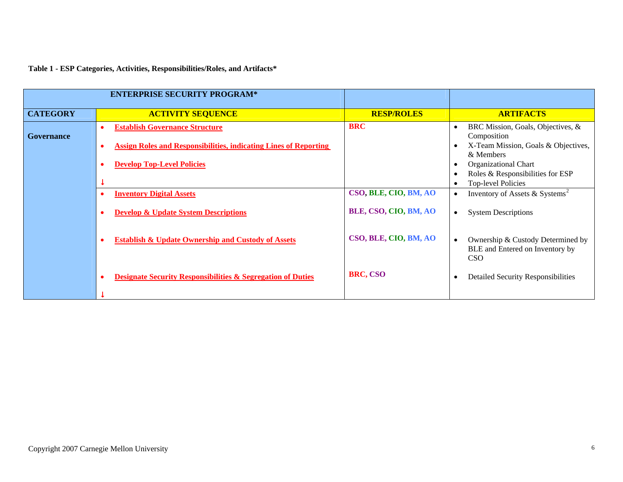**Table 1 - ESP Categories, Activities, Responsibilities/Roles, and Artifacts\*** 

<span id="page-5-0"></span>

| <b>ENTERPRISE SECURITY PROGRAM*</b> |                                                                                                                               |                       |                                                                                                                                     |
|-------------------------------------|-------------------------------------------------------------------------------------------------------------------------------|-----------------------|-------------------------------------------------------------------------------------------------------------------------------------|
| <b>CATEGORY</b>                     | <b>ACTIVITY SEQUENCE</b>                                                                                                      | <b>RESP/ROLES</b>     | <b>ARTIFACTS</b>                                                                                                                    |
| <b>Governance</b>                   | <b>Establish Governance Structure</b><br>$\bullet$<br><b>Assign Roles and Responsibilities, indicating Lines of Reporting</b> | <b>BRC</b>            | BRC Mission, Goals, Objectives, &<br>$\bullet$<br>Composition<br>X-Team Mission, Goals & Objectives,<br>$\bullet$<br>& Members      |
|                                     | <b>Develop Top-Level Policies</b>                                                                                             |                       | <b>Organizational Chart</b><br>$\bullet$<br>Roles & Responsibilities for ESP<br>$\bullet$<br><b>Top-level Policies</b><br>$\bullet$ |
|                                     | <b>Inventory Digital Assets</b>                                                                                               | CSO, BLE, CIO, BM, AO | Inventory of Assets & Systems <sup>2</sup><br>$\bullet$                                                                             |
|                                     | <b>Develop &amp; Update System Descriptions</b>                                                                               | BLE, CSO, CIO, BM, AO | <b>System Descriptions</b><br>$\bullet$                                                                                             |
|                                     | <b>Establish &amp; Update Ownership and Custody of Assets</b>                                                                 | CSO, BLE, CIO, BM, AO | Ownership & Custody Determined by<br>$\bullet$<br>BLE and Entered on Inventory by<br>CSO <sup>.</sup>                               |
|                                     | <b>Designate Security Responsibilities &amp; Segregation of Duties</b>                                                        | BRC, CSO              | <b>Detailed Security Responsibilities</b><br>$\bullet$                                                                              |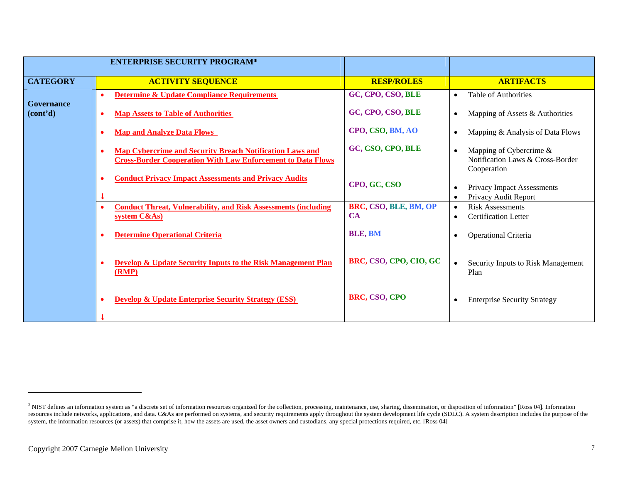|                                     | <b>ENTERPRISE SECURITY PROGRAM*</b>                                                                                                         |                                    |                                                                                         |
|-------------------------------------|---------------------------------------------------------------------------------------------------------------------------------------------|------------------------------------|-----------------------------------------------------------------------------------------|
| <b>CATEGORY</b>                     | <b>ACTIVITY SEQUENCE</b>                                                                                                                    | <b>RESP/ROLES</b>                  | <b>ARTIFACTS</b>                                                                        |
|                                     | <b>Determine &amp; Update Compliance Requirements</b><br>$\bullet$                                                                          | GC, CPO, CSO, BLE                  | Table of Authorities<br>$\bullet$                                                       |
| Governance<br>(cont <sup>2</sup> d) | <b>Map Assets to Table of Authorities</b><br>$\bullet$                                                                                      | GC, CPO, CSO, BLE                  | Mapping of Assets & Authorities<br>$\bullet$                                            |
|                                     | <b>Map and Analyze Data Flows</b>                                                                                                           | CPO, CSO, BM, AO                   | Mapping & Analysis of Data Flows<br>$\bullet$                                           |
|                                     | Map Cybercrime and Security Breach Notification Laws and<br>$\bullet$<br><b>Cross-Border Cooperation With Law Enforcement to Data Flows</b> | GC, CSO, CPO, BLE                  | Mapping of Cybercrime &<br>$\bullet$<br>Notification Laws & Cross-Border<br>Cooperation |
|                                     | <b>Conduct Privacy Impact Assessments and Privacy Audits</b>                                                                                | CPO, GC, CSO                       | Privacy Impact Assessments<br>$\bullet$<br>Privacy Audit Report<br>$\bullet$            |
|                                     | <b>Conduct Threat, Vulnerability, and Risk Assessments (including</b><br>$\bullet$<br>system C&As)                                          | BRC, CSO, BLE, BM, OP<br><b>CA</b> | <b>Risk Assessments</b><br>$\bullet$<br><b>Certification Letter</b><br>$\bullet$        |
|                                     | <b>Determine Operational Criteria</b>                                                                                                       | <b>BLE, BM</b>                     | Operational Criteria<br>$\bullet$                                                       |
|                                     | <b>Develop &amp; Update Security Inputs to the Risk Management Plan</b><br>(RMP)                                                            | BRC, CSO, CPO, CIO, GC             | Security Inputs to Risk Management<br>$\bullet$<br>Plan                                 |
|                                     | <b>Develop &amp; Update Enterprise Security Strategy (ESS)</b>                                                                              | BRC, CSO, CPO                      | <b>Enterprise Security Strategy</b><br>$\bullet$                                        |
|                                     |                                                                                                                                             |                                    |                                                                                         |

<sup>&</sup>lt;sup>2</sup> NIST defines an information system as "a discrete set of information resources organized for the collection, processing, maintenance, use, sharing, dissemination, or disposition of information" [Ross 04]. Information resources include networks, applications, and data. C&As are performed on systems, and security requirements apply throughout the system development life cycle (SDLC). A system description includes the purpose of the system, the information resources (or assets) that comprise it, how the assets are used, the asset owners and custodians, any special protections required, etc. [Ross 04]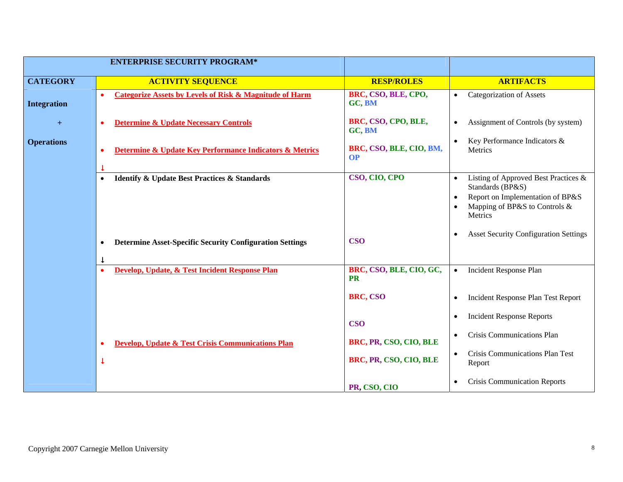|                    | <b>ENTERPRISE SECURITY PROGRAM*</b>                                                  |                                      |                                                                                                                                                                                 |
|--------------------|--------------------------------------------------------------------------------------|--------------------------------------|---------------------------------------------------------------------------------------------------------------------------------------------------------------------------------|
| <b>CATEGORY</b>    | <b>ACTIVITY SEQUENCE</b>                                                             | <b>RESP/ROLES</b>                    | <b>ARTIFACTS</b>                                                                                                                                                                |
| <b>Integration</b> | <b>Categorize Assets by Levels of Risk &amp; Magnitude of Harm</b><br>$\bullet$      | BRC, CSO, BLE, CPO,<br>GC, BM        | <b>Categorization of Assets</b><br>$\bullet$                                                                                                                                    |
| $+$                | <b>Determine &amp; Update Necessary Controls</b><br>G                                | BRC, CSO, CPO, BLE,<br>GC, BM        | Assignment of Controls (by system)<br>$\bullet$                                                                                                                                 |
| <b>Operations</b>  | Determine & Update Key Performance Indicators & Metrics<br>$\bullet$                 | BRC, CSO, BLE, CIO, BM,<br><b>OP</b> | Key Performance Indicators &<br>$\bullet$<br>Metrics                                                                                                                            |
|                    | <b>Identify &amp; Update Best Practices &amp; Standards</b><br>$\bullet$             | CSO, CIO, CPO                        | Listing of Approved Best Practices &<br>$\bullet$<br>Standards (BP&S)<br>Report on Implementation of BP&S<br>$\bullet$<br>Mapping of BP&S to Controls &<br>$\bullet$<br>Metrics |
|                    | <b>Determine Asset-Specific Security Configuration Settings</b><br>٠<br>$\downarrow$ | <b>CSO</b>                           | <b>Asset Security Configuration Settings</b><br>$\bullet$                                                                                                                       |
|                    | Develop, Update, & Test Incident Response Plan<br>$\bullet$                          | BRC, CSO, BLE, CIO, GC,<br><b>PR</b> | Incident Response Plan<br>$\bullet$                                                                                                                                             |
|                    |                                                                                      | BRC, CSO                             | Incident Response Plan Test Report<br>$\bullet$                                                                                                                                 |
|                    |                                                                                      | <b>CSO</b>                           | <b>Incident Response Reports</b><br>$\bullet$                                                                                                                                   |
|                    | <b>Develop, Update &amp; Test Crisis Communications Plan</b><br>↓                    | BRC, PR, CSO, CIO, BLE               | <b>Crisis Communications Plan</b><br>$\bullet$                                                                                                                                  |
|                    |                                                                                      | BRC, PR, CSO, CIO, BLE               | Crisis Communications Plan Test<br>$\bullet$<br>Report                                                                                                                          |
|                    |                                                                                      | PR, CSO, CIO                         | <b>Crisis Communication Reports</b><br>$\bullet$                                                                                                                                |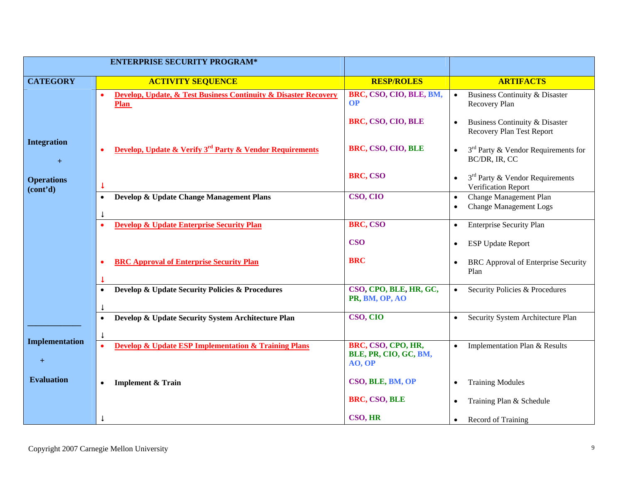| <b>ENTERPRISE SECURITY PROGRAM*</b>        |                                                                                  |                                          |                                                                                   |
|--------------------------------------------|----------------------------------------------------------------------------------|------------------------------------------|-----------------------------------------------------------------------------------|
| <b>CATEGORY</b>                            | <b>ACTIVITY SEQUENCE</b>                                                         | <b>RESP/ROLES</b>                        | <b>ARTIFACTS</b>                                                                  |
|                                            | Develop, Update, & Test Business Continuity & Disaster Recovery<br><b>Plan</b>   | BRC, CSO, CIO, BLE, BM,<br><b>OP</b>     | Business Continuity & Disaster<br>$\bullet$<br>Recovery Plan                      |
|                                            |                                                                                  | BRC, CSO, CIO, BLE                       | Business Continuity & Disaster<br>$\bullet$<br><b>Recovery Plan Test Report</b>   |
| <b>Integration</b><br>$+$                  | Develop, Update & Verify 3 <sup>rd</sup> Party & Vendor Requirements             | BRC, CSO, CIO, BLE                       | $3rd$ Party & Vendor Requirements for<br>BC/DR, IR, CC                            |
| <b>Operations</b><br>(cont <sup>2</sup> d) |                                                                                  | BRC, CSO                                 | $3rd$ Party & Vendor Requirements<br>Verification Report                          |
|                                            | Develop & Update Change Management Plans<br>$\bullet$<br>$\downarrow$            | CSO, CIO                                 | Change Management Plan<br>$\bullet$<br><b>Change Management Logs</b><br>$\bullet$ |
|                                            | <b>Develop &amp; Update Enterprise Security Plan</b><br>$\bullet$                | BRC, CSO                                 | <b>Enterprise Security Plan</b><br>$\bullet$                                      |
|                                            |                                                                                  | <b>CSO</b>                               | <b>ESP Update Report</b><br>$\bullet$                                             |
|                                            | <b>BRC Approval of Enterprise Security Plan</b>                                  | <b>BRC</b>                               | <b>BRC</b> Approval of Enterprise Security<br>Plan                                |
|                                            | Develop & Update Security Policies & Procedures<br>$\bullet$                     | CSO, CPO, BLE, HR, GC,<br>PR, BM, OP, AO | Security Policies & Procedures<br>$\bullet$                                       |
|                                            | Develop & Update Security System Architecture Plan                               | CSO, CIO                                 | Security System Architecture Plan                                                 |
|                                            | $\bullet$                                                                        |                                          |                                                                                   |
| <b>Implementation</b>                      | <b>Develop &amp; Update ESP Implementation &amp; Training Plans</b><br>$\bullet$ | BRC, CSO, CPO, HR,                       | Implementation Plan & Results                                                     |
| $\boldsymbol{+}$                           |                                                                                  | BLE, PR, CIO, GC, BM,<br>AO, OP          |                                                                                   |
| <b>Evaluation</b>                          | <b>Implement &amp; Train</b><br>$\bullet$                                        | CSO, BLE, BM, OP                         | <b>Training Modules</b><br>$\bullet$                                              |
|                                            |                                                                                  | BRC, CSO, BLE                            | Training Plan & Schedule<br>$\bullet$                                             |
|                                            |                                                                                  | CSO, HR                                  | Record of Training<br>$\bullet$                                                   |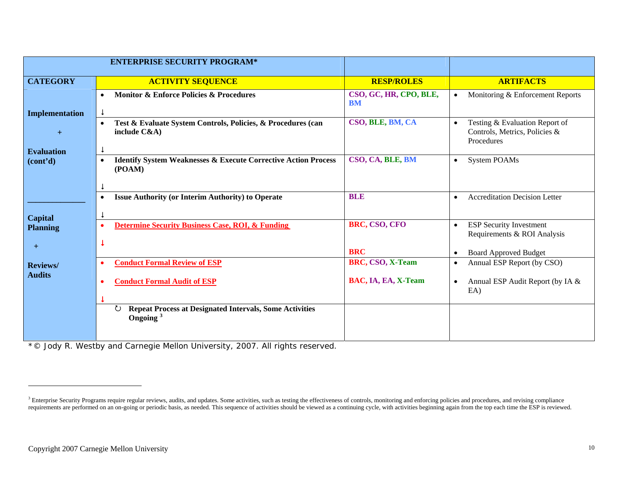<span id="page-9-0"></span>

|                                     | <b>ENTERPRISE SECURITY PROGRAM*</b>                                                              |                                         |                                                                                                                                       |
|-------------------------------------|--------------------------------------------------------------------------------------------------|-----------------------------------------|---------------------------------------------------------------------------------------------------------------------------------------|
| <b>CATEGORY</b>                     | <b>ACTIVITY SEQUENCE</b>                                                                         | <b>RESP/ROLES</b>                       | <b>ARTIFACTS</b>                                                                                                                      |
| Implementation                      | <b>Monitor &amp; Enforce Policies &amp; Procedures</b><br>$\bullet$<br>$\downarrow$              | CSO, GC, HR, CPO, BLE,<br><b>BM</b>     | Monitoring & Enforcement Reports<br>$\bullet$                                                                                         |
| $+$                                 | Test & Evaluate System Controls, Policies, & Procedures (can<br>$\bullet$<br>include $C&A$ )     | CSO, BLE, BM, CA                        | Testing & Evaluation Report of<br>$\bullet$<br>Controls, Metrics, Policies &<br>Procedures                                            |
| <b>Evaluation</b><br>(cont'd)       | <b>Identify System Weaknesses &amp; Execute Corrective Action Process</b><br>$\bullet$<br>(POAM) | CSO, CA, BLE, BM                        | <b>System POAMs</b><br>$\bullet$                                                                                                      |
|                                     | <b>Issue Authority (or Interim Authority) to Operate</b><br>$\bullet$                            | <b>BLE</b>                              | <b>Accreditation Decision Letter</b><br>$\bullet$                                                                                     |
| Capital<br><b>Planning</b><br>$\pm$ | <b>Determine Security Business Case, ROI, &amp; Funding</b><br>$\bullet$                         | BRC, CSO, CFO<br><b>BRC</b>             | <b>ESP Security Investment</b><br>$\bullet$<br>Requirements & ROI Analysis                                                            |
| <b>Reviews</b> /<br><b>Audits</b>   | <b>Conduct Formal Review of ESP</b><br><b>Conduct Formal Audit of ESP</b>                        | BRC, CSO, X-Team<br>BAC, IA, EA, X-Team | <b>Board Approved Budget</b><br>$\bullet$<br>Annual ESP Report (by CSO)<br>$\bullet$<br>Annual ESP Audit Report (by IA &<br>$\bullet$ |
|                                     | <b>Repeat Process at Designated Intervals, Some Activities</b><br>℧                              |                                         | EA)                                                                                                                                   |
|                                     | Ongoing <sup>3</sup>                                                                             |                                         |                                                                                                                                       |

*\*© Jody R. Westby and Carnegie Mellon University, 2007. All rights reserved.*

 $3$  Enterprise Security Programs require regular reviews, audits, and updates. Some activities, such as testing the effectiveness of controls, monitoring and enforcing policies and procedures, and revising compliance requirements are performed on an on-going or periodic basis, as needed. This sequence of activities should be viewed as a continuing cycle, with activities beginning again from the top each time the ESP is reviewed.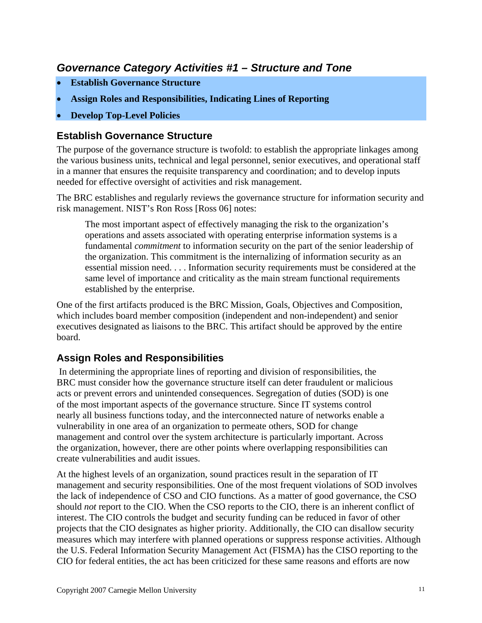# <span id="page-10-0"></span>*Governance Category Activities #1 – Structure and Tone*

- **Establish Governance Structure**
- **Assign Roles and Responsibilities, Indicating Lines of Reporting**
- **Develop Top-Level Policies**

#### **Establish Governance Structure**

The purpose of the governance structure is twofold: to establish the appropriate linkages among the various business units, technical and legal personnel, senior executives, and operational staff in a manner that ensures the requisite transparency and coordination; and to develop inputs needed for effective oversight of activities and risk management.

The BRC establishes and regularly reviews the governance structure for information security and risk management. NIST's Ron Ross [Ross 06] notes:

The most important aspect of effectively managing the risk to the organization's operations and assets associated with operating enterprise information systems is a fundamental *commitment* to information security on the part of the senior leadership of the organization. This commitment is the internalizing of information security as an essential mission need. . . . Information security requirements must be considered at the same level of importance and criticality as the main stream functional requirements established by the enterprise.

One of the first artifacts produced is the BRC Mission, Goals, Objectives and Composition, which includes board member composition (independent and non-independent) and senior executives designated as liaisons to the BRC. This artifact should be approved by the entire board.

### **Assign Roles and Responsibilities**

In determining the appropriate lines of reporting and division of responsibilities, the BRC must consider how the governance structure itself can deter fraudulent or malicious acts or prevent errors and unintended consequences. Segregation of duties (SOD) is one of the most important aspects of the governance structure. Since IT systems control nearly all business functions today, and the interconnected nature of networks enable a vulnerability in one area of an organization to permeate others, SOD for change management and control over the system architecture is particularly important. Across the organization, however, there are other points where overlapping responsibilities can create vulnerabilities and audit issues.

At the highest levels of an organization, sound practices result in the separation of IT management and security responsibilities. One of the most frequent violations of SOD involves the lack of independence of CSO and CIO functions. As a matter of good governance, the CSO should *not* report to the CIO. When the CSO reports to the CIO, there is an inherent conflict of interest. The CIO controls the budget and security funding can be reduced in favor of other projects that the CIO designates as higher priority. Additionally, the CIO can disallow security measures which may interfere with planned operations or suppress response activities. Although the U.S. Federal Information Security Management Act (FISMA) has the CISO reporting to the CIO for federal entities, the act has been criticized for these same reasons and efforts are now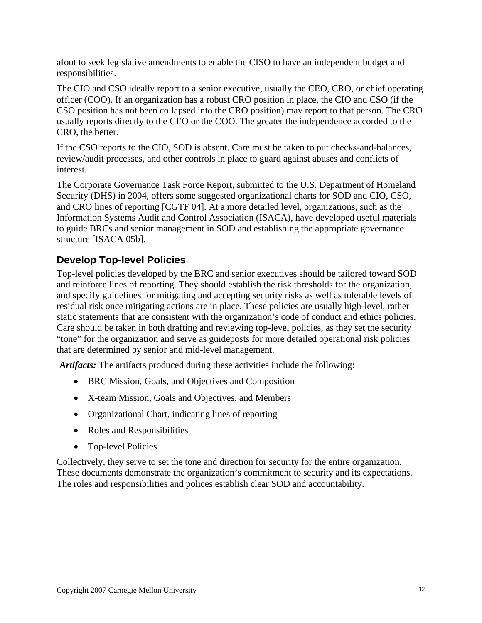<span id="page-11-0"></span>afoot to seek legislative amendments to enable the CISO to have an independent budget and responsibilities.

The CIO and CSO ideally report to a senior executive, usually the CEO, CRO, or chief operating officer (COO). If an organization has a robust CRO position in place, the CIO and CSO (if the CSO position has not been collapsed into the CRO position) may report to that person. The CRO usually reports directly to the CEO or the COO. The greater the independence accorded to the CRO, the better.

If the CSO reports to the CIO, SOD is absent. Care must be taken to put checks-and-balances, review/audit processes, and other controls in place to guard against abuses and conflicts of interest.

The Corporate Governance Task Force Report, submitted to the U.S. Department of Homeland Security (DHS) in 2004, offers some suggested organizational charts for SOD and CIO, CSO, and CRO lines of reporting [CGTF 04]. At a more detailed level, organizations, such as the Information Systems Audit and Control Association (ISACA), have developed useful materials to guide BRCs and senior management in SOD and establishing the appropriate governance structure [ISACA 05b].

## **Develop Top-level Policies**

Top-level policies developed by the BRC and senior executives should be tailored toward SOD and reinforce lines of reporting. They should establish the risk thresholds for the organization, and specify guidelines for mitigating and accepting security risks as well as tolerable levels of residual risk once mitigating actions are in place. These policies are usually high-level, rather static statements that are consistent with the organization's code of conduct and ethics policies. Care should be taken in both drafting and reviewing top-level policies, as they set the security "tone" for the organization and serve as guideposts for more detailed operational risk policies that are determined by senior and mid-level management.

*Artifacts:* The artifacts produced during these activities include the following:

- BRC Mission, Goals, and Objectives and Composition
- X-team Mission, Goals and Objectives, and Members
- Organizational Chart, indicating lines of reporting
- Roles and Responsibilities
- Top-level Policies

Collectively, they serve to set the tone and direction for security for the entire organization. These documents demonstrate the organization's commitment to security and its expectations. The roles and responsibilities and polices establish clear SOD and accountability.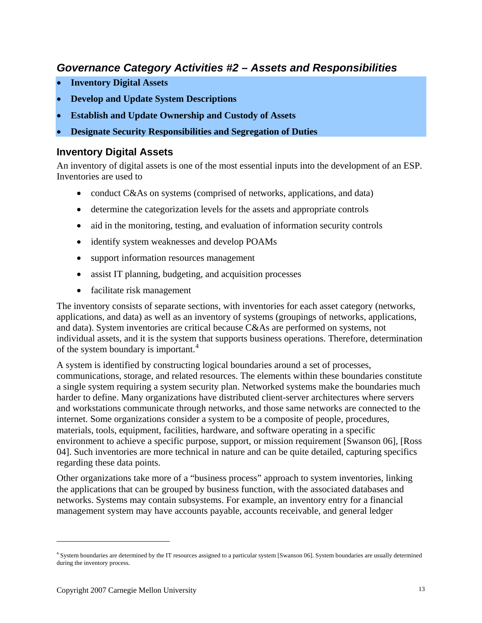# <span id="page-12-1"></span><span id="page-12-0"></span>*Governance Category Activities #2 – Assets and Responsibilities*

- **Inventory Digital Assets**
- **Develop and Update System Descriptions**
- **Establish and Update Ownership and Custody of Assets**
- **Designate Security Responsibilities and Segregation of Duties**

#### **Inventory Digital Assets**

An inventory of digital assets is one of the most essential inputs into the development of an ESP. Inventories are used to

- conduct C&As on systems (comprised of networks, applications, and data)
- determine the categorization levels for the assets and appropriate controls
- aid in the monitoring, testing, and evaluation of information security controls
- identify system weaknesses and develop POAMs
- support information resources management
- assist IT planning, budgeting, and acquisition processes
- facilitate risk management

The inventory consists of separate sections, with inventories for each asset category (networks, applications, and data) as well as an inventory of systems (groupings of networks, applications, and data). System inventories are critical because C&As are performed on systems, not individual assets, and it is the system that supports business operations. Therefore, determination of the system boundary is important.<sup>[4](#page-12-1)</sup>

A system is identified by constructing logical boundaries around a set of processes, communications, storage, and related resources. The elements within these boundaries constitute a single system requiring a system security plan. Networked systems make the boundaries much harder to define. Many organizations have distributed client-server architectures where servers and workstations communicate through networks, and those same networks are connected to the internet. Some organizations consider a system to be a composite of people, procedures, materials, tools, equipment, facilities, hardware, and software operating in a specific environment to achieve a specific purpose, support, or mission requirement [Swanson 06], [Ross 04]. Such inventories are more technical in nature and can be quite detailed, capturing specifics regarding these data points.

Other organizations take more of a "business process" approach to system inventories, linking the applications that can be grouped by business function, with the associated databases and networks. Systems may contain subsystems. For example, an inventory entry for a financial management system may have accounts payable, accounts receivable, and general ledger

 $\overline{a}$ 

<sup>4</sup> System boundaries are determined by the IT resources assigned to a particular system [Swanson 06]. System boundaries are usually determined during the inventory process.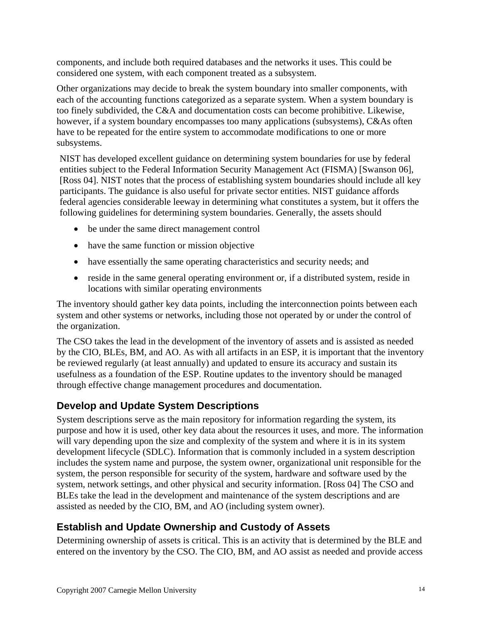<span id="page-13-0"></span>components, and include both required databases and the networks it uses. This could be considered one system, with each component treated as a subsystem.

Other organizations may decide to break the system boundary into smaller components, with each of the accounting functions categorized as a separate system. When a system boundary is too finely subdivided, the C&A and documentation costs can become prohibitive. Likewise, however, if a system boundary encompasses too many applications (subsystems), C&As often have to be repeated for the entire system to accommodate modifications to one or more subsystems.

NIST has developed excellent guidance on determining system boundaries for use by federal entities subject to the Federal Information Security Management Act (FISMA) [Swanson 06], [Ross 04]. NIST notes that the process of establishing system boundaries should include all key participants. The guidance is also useful for private sector entities. NIST guidance affords federal agencies considerable leeway in determining what constitutes a system, but it offers the following guidelines for determining system boundaries. Generally, the assets should

- be under the same direct management control
- have the same function or mission objective
- have essentially the same operating characteristics and security needs; and
- reside in the same general operating environment or, if a distributed system, reside in locations with similar operating environments

The inventory should gather key data points, including the interconnection points between each system and other systems or networks, including those not operated by or under the control of the organization.

The CSO takes the lead in the development of the inventory of assets and is assisted as needed by the CIO, BLEs, BM, and AO. As with all artifacts in an ESP, it is important that the inventory be reviewed regularly (at least annually) and updated to ensure its accuracy and sustain its usefulness as a foundation of the ESP. Routine updates to the inventory should be managed through effective change management procedures and documentation.

# **Develop and Update System Descriptions**

System descriptions serve as the main repository for information regarding the system, its purpose and how it is used, other key data about the resources it uses, and more. The information will vary depending upon the size and complexity of the system and where it is in its system development lifecycle (SDLC). Information that is commonly included in a system description includes the system name and purpose, the system owner, organizational unit responsible for the system, the person responsible for security of the system, hardware and software used by the system, network settings, and other physical and security information. [Ross 04] The CSO and BLEs take the lead in the development and maintenance of the system descriptions and are assisted as needed by the CIO, BM, and AO (including system owner).

# **Establish and Update Ownership and Custody of Assets**

Determining ownership of assets is critical. This is an activity that is determined by the BLE and entered on the inventory by the CSO. The CIO, BM, and AO assist as needed and provide access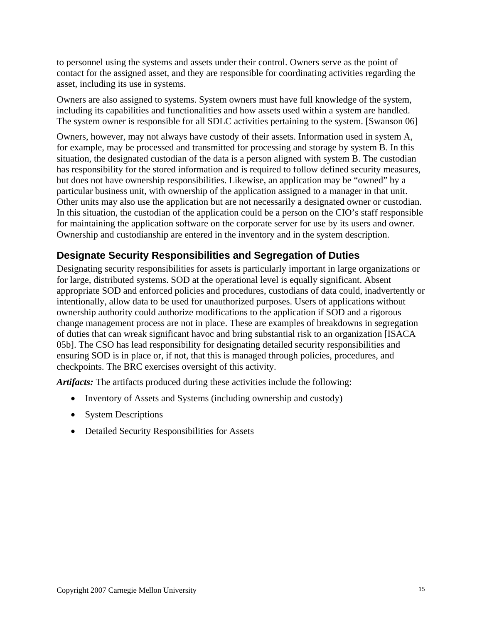<span id="page-14-0"></span>to personnel using the systems and assets under their control. Owners serve as the point of contact for the assigned asset, and they are responsible for coordinating activities regarding the asset, including its use in systems.

Owners are also assigned to systems. System owners must have full knowledge of the system, including its capabilities and functionalities and how assets used within a system are handled. The system owner is responsible for all SDLC activities pertaining to the system. [Swanson 06]

Owners, however, may not always have custody of their assets. Information used in system A, for example, may be processed and transmitted for processing and storage by system B. In this situation, the designated custodian of the data is a person aligned with system B. The custodian has responsibility for the stored information and is required to follow defined security measures, but does not have ownership responsibilities. Likewise, an application may be "owned" by a particular business unit, with ownership of the application assigned to a manager in that unit. Other units may also use the application but are not necessarily a designated owner or custodian. In this situation, the custodian of the application could be a person on the CIO's staff responsible for maintaining the application software on the corporate server for use by its users and owner. Ownership and custodianship are entered in the inventory and in the system description.

## **Designate Security Responsibilities and Segregation of Duties**

Designating security responsibilities for assets is particularly important in large organizations or for large, distributed systems. SOD at the operational level is equally significant. Absent appropriate SOD and enforced policies and procedures, custodians of data could, inadvertently or intentionally, allow data to be used for unauthorized purposes. Users of applications without ownership authority could authorize modifications to the application if SOD and a rigorous change management process are not in place. These are examples of breakdowns in segregation of duties that can wreak significant havoc and bring substantial risk to an organization [ISACA 05b]. The CSO has lead responsibility for designating detailed security responsibilities and ensuring SOD is in place or, if not, that this is managed through policies, procedures, and checkpoints. The BRC exercises oversight of this activity.

*Artifacts:* The artifacts produced during these activities include the following:

- Inventory of Assets and Systems (including ownership and custody)
- System Descriptions
- Detailed Security Responsibilities for Assets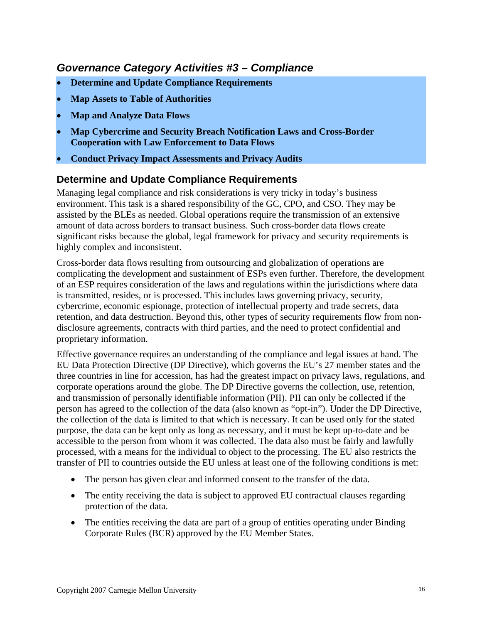# <span id="page-15-0"></span>*Governance Category Activities #3 – Compliance*

- **Determine and Update Compliance Requirements**
- **Map Assets to Table of Authorities**
- **Map and Analyze Data Flows**
- **Map Cybercrime and Security Breach Notification Laws and Cross-Border Cooperation with Law Enforcement to Data Flows**
- **Conduct Privacy Impact Assessments and Privacy Audits**

#### **Determine and Update Compliance Requirements**

Managing legal compliance and risk considerations is very tricky in today's business environment. This task is a shared responsibility of the GC, CPO, and CSO. They may be assisted by the BLEs as needed. Global operations require the transmission of an extensive amount of data across borders to transact business. Such cross-border data flows create significant risks because the global, legal framework for privacy and security requirements is highly complex and inconsistent.

Cross-border data flows resulting from outsourcing and globalization of operations are complicating the development and sustainment of ESPs even further. Therefore, the development of an ESP requires consideration of the laws and regulations within the jurisdictions where data is transmitted, resides, or is processed. This includes laws governing privacy, security, cybercrime, economic espionage, protection of intellectual property and trade secrets, data retention, and data destruction. Beyond this, other types of security requirements flow from nondisclosure agreements, contracts with third parties, and the need to protect confidential and proprietary information.

Effective governance requires an understanding of the compliance and legal issues at hand. The EU Data Protection Directive (DP Directive), which governs the EU's 27 member states and the three countries in line for accession, has had the greatest impact on privacy laws, regulations, and corporate operations around the globe. The DP Directive governs the collection, use, retention, and transmission of personally identifiable information (PII). PII can only be collected if the person has agreed to the collection of the data (also known as "opt-in"). Under the DP Directive, the collection of the data is limited to that which is necessary. It can be used only for the stated purpose, the data can be kept only as long as necessary, and it must be kept up-to-date and be accessible to the person from whom it was collected. The data also must be fairly and lawfully processed, with a means for the individual to object to the processing. The EU also restricts the transfer of PII to countries outside the EU unless at least one of the following conditions is met:

- The person has given clear and informed consent to the transfer of the data.
- The entity receiving the data is subject to approved EU contractual clauses regarding protection of the data.
- The entities receiving the data are part of a group of entities operating under Binding Corporate Rules (BCR) approved by the EU Member States.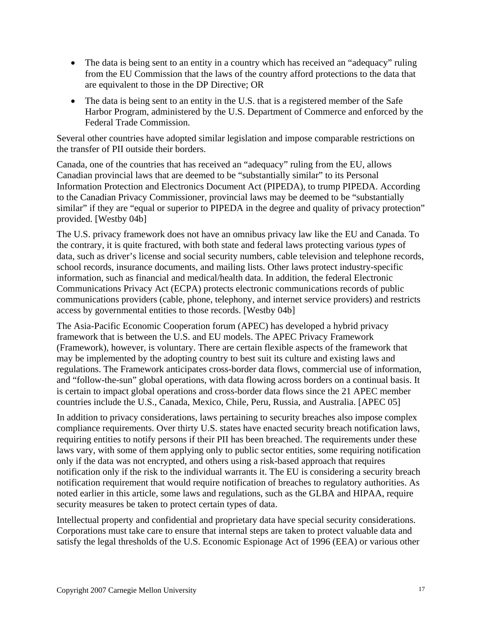- The data is being sent to an entity in a country which has received an "adequacy" ruling from the EU Commission that the laws of the country afford protections to the data that are equivalent to those in the DP Directive; OR
- The data is being sent to an entity in the U.S. that is a registered member of the Safe Harbor Program, administered by the U.S. Department of Commerce and enforced by the Federal Trade Commission.

Several other countries have adopted similar legislation and impose comparable restrictions on the transfer of PII outside their borders.

Canada, one of the countries that has received an "adequacy" ruling from the EU, allows Canadian provincial laws that are deemed to be "substantially similar" to its Personal Information Protection and Electronics Document Act (PIPEDA), to trump PIPEDA. According to the Canadian Privacy Commissioner, provincial laws may be deemed to be "substantially similar" if they are "equal or superior to PIPEDA in the degree and quality of privacy protection" provided. [Westby 04b]

The U.S. privacy framework does not have an omnibus privacy law like the EU and Canada. To the contrary, it is quite fractured, with both state and federal laws protecting various *types* of data, such as driver's license and social security numbers, cable television and telephone records, school records, insurance documents, and mailing lists. Other laws protect industry-specific information, such as financial and medical/health data. In addition, the federal Electronic Communications Privacy Act (ECPA) protects electronic communications records of public communications providers (cable, phone, telephony, and internet service providers) and restricts access by governmental entities to those records. [Westby 04b]

The Asia-Pacific Economic Cooperation forum (APEC) has developed a hybrid privacy framework that is between the U.S. and EU models. The APEC Privacy Framework (Framework), however, is voluntary. There are certain flexible aspects of the framework that may be implemented by the adopting country to best suit its culture and existing laws and regulations. The Framework anticipates cross-border data flows, commercial use of information, and "follow-the-sun" global operations, with data flowing across borders on a continual basis. It is certain to impact global operations and cross-border data flows since the 21 APEC member countries include the U.S., Canada, Mexico, Chile, Peru, Russia, and Australia. [APEC 05]

In addition to privacy considerations, laws pertaining to security breaches also impose complex compliance requirements. Over thirty U.S. states have enacted security breach notification laws, requiring entities to notify persons if their PII has been breached. The requirements under these laws vary, with some of them applying only to public sector entities, some requiring notification only if the data was not encrypted, and others using a risk-based approach that requires notification only if the risk to the individual warrants it. The EU is considering a security breach notification requirement that would require notification of breaches to regulatory authorities. As noted earlier in this article, some laws and regulations, such as the GLBA and HIPAA, require security measures be taken to protect certain types of data.

Intellectual property and confidential and proprietary data have special security considerations. Corporations must take care to ensure that internal steps are taken to protect valuable data and satisfy the legal thresholds of the U.S. Economic Espionage Act of 1996 (EEA) or various other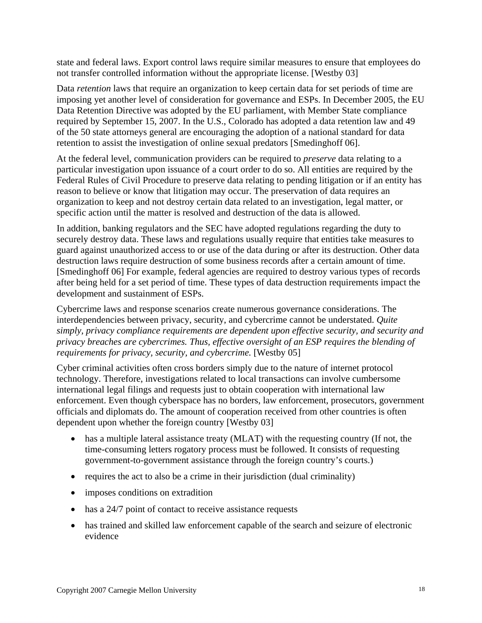state and federal laws. Export control laws require similar measures to ensure that employees do not transfer controlled information without the appropriate license. [Westby 03]

Data *retention* laws that require an organization to keep certain data for set periods of time are imposing yet another level of consideration for governance and ESPs. In December 2005, the EU Data Retention Directive was adopted by the EU parliament, with Member State compliance required by September 15, 2007. In the U.S., Colorado has adopted a data retention law and 49 of the 50 state attorneys general are encouraging the adoption of a national standard for data retention to assist the investigation of online sexual predators [Smedinghoff 06].

At the federal level, communication providers can be required to *preserve* data relating to a particular investigation upon issuance of a court order to do so. All entities are required by the Federal Rules of Civil Procedure to preserve data relating to pending litigation or if an entity has reason to believe or know that litigation may occur. The preservation of data requires an organization to keep and not destroy certain data related to an investigation, legal matter, or specific action until the matter is resolved and destruction of the data is allowed.

In addition, banking regulators and the SEC have adopted regulations regarding the duty to securely destroy data. These laws and regulations usually require that entities take measures to guard against unauthorized access to or use of the data during or after its destruction. Other data destruction laws require destruction of some business records after a certain amount of time. [Smedinghoff 06] For example, federal agencies are required to destroy various types of records after being held for a set period of time. These types of data destruction requirements impact the development and sustainment of ESPs.

Cybercrime laws and response scenarios create numerous governance considerations. The interdependencies between privacy, security, and cybercrime cannot be understated. *Quite simply, privacy compliance requirements are dependent upon effective security, and security and privacy breaches are cybercrimes. Thus, effective oversight of an ESP requires the blending of requirements for privacy, security, and cybercrime.* [Westby 05]

Cyber criminal activities often cross borders simply due to the nature of internet protocol technology. Therefore, investigations related to local transactions can involve cumbersome international legal filings and requests just to obtain cooperation with international law enforcement. Even though cyberspace has no borders, law enforcement, prosecutors, government officials and diplomats do. The amount of cooperation received from other countries is often dependent upon whether the foreign country [Westby 03]

- has a multiple lateral assistance treaty (MLAT) with the requesting country (If not, the time-consuming letters rogatory process must be followed. It consists of requesting government-to-government assistance through the foreign country's courts.)
- requires the act to also be a crime in their jurisdiction (dual criminality)
- imposes conditions on extradition
- has a 24/7 point of contact to receive assistance requests
- has trained and skilled law enforcement capable of the search and seizure of electronic evidence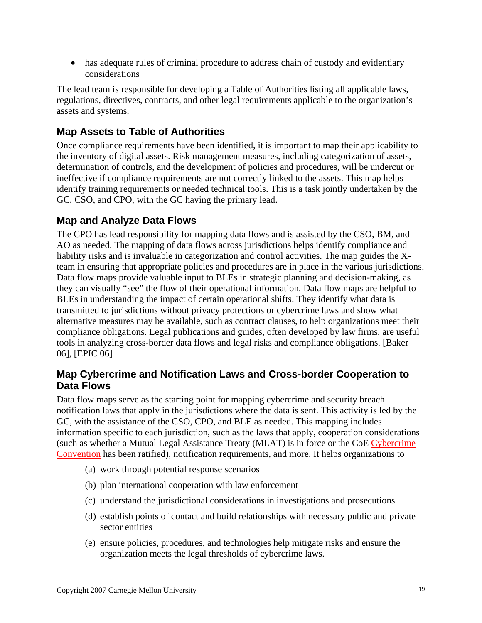<span id="page-18-0"></span>• has adequate rules of criminal procedure to address chain of custody and evidentiary considerations

The lead team is responsible for developing a Table of Authorities listing all applicable laws, regulations, directives, contracts, and other legal requirements applicable to the organization's assets and systems.

# **Map Assets to Table of Authorities**

Once compliance requirements have been identified, it is important to map their applicability to the inventory of digital assets. Risk management measures, including categorization of assets, determination of controls, and the development of policies and procedures, will be undercut or ineffective if compliance requirements are not correctly linked to the assets. This map helps identify training requirements or needed technical tools. This is a task jointly undertaken by the GC, CSO, and CPO, with the GC having the primary lead.

## **Map and Analyze Data Flows**

The CPO has lead responsibility for mapping data flows and is assisted by the CSO, BM, and AO as needed. The mapping of data flows across jurisdictions helps identify compliance and liability risks and is invaluable in categorization and control activities. The map guides the Xteam in ensuring that appropriate policies and procedures are in place in the various jurisdictions. Data flow maps provide valuable input to BLEs in strategic planning and decision-making, as they can visually "see" the flow of their operational information. Data flow maps are helpful to BLEs in understanding the impact of certain operational shifts. They identify what data is transmitted to jurisdictions without privacy protections or cybercrime laws and show what alternative measures may be available, such as contract clauses, to help organizations meet their compliance obligations. Legal publications and guides, often developed by law firms, are useful tools in analyzing cross-border data flows and legal risks and compliance obligations. [Baker 06], [EPIC 06]

#### **Map Cybercrime and Notification Laws and Cross-border Cooperation to Data Flows**

Data flow maps serve as the starting point for mapping cybercrime and security breach notification laws that apply in the jurisdictions where the data is sent. This activity is led by the GC, with the assistance of the CSO, CPO, and BLE as needed. This mapping includes information specific to each jurisdiction, such as the laws that apply, cooperation considerations (such as whether a Mutual Legal Assistance Treaty (MLAT) is in force or the CoE [Cybercrime](http://www.usdoj.gov/criminal/cybercrime/COEFAQs.htm)  [Convention](http://www.usdoj.gov/criminal/cybercrime/COEFAQs.htm) has been ratified), notification requirements, and more. It helps organizations to

- (a) work through potential response scenarios
- (b) plan international cooperation with law enforcement
- (c) understand the jurisdictional considerations in investigations and prosecutions
- (d) establish points of contact and build relationships with necessary public and private sector entities
- (e) ensure policies, procedures, and technologies help mitigate risks and ensure the organization meets the legal thresholds of cybercrime laws.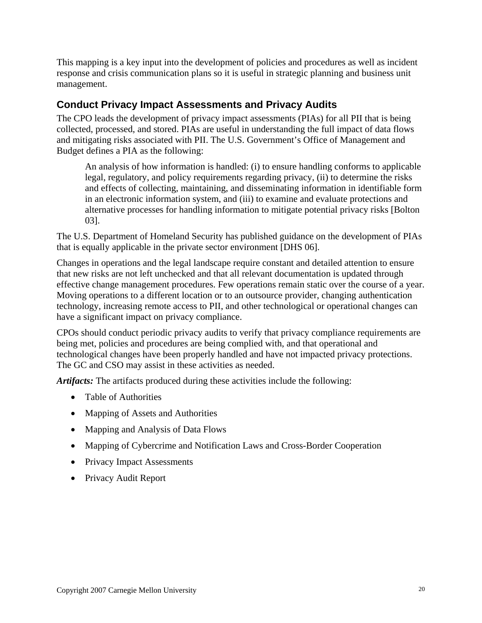This mapping is a key input into the development of policies and procedures as well as incident response and crisis communication plans so it is useful in strategic planning and business unit management.

### **Conduct Privacy Impact Assessments and Privacy Audits**

The CPO leads the development of privacy impact assessments (PIAs) for all PII that is being collected, processed, and stored. PIAs are useful in understanding the full impact of data flows and mitigating risks associated with PII. The U.S. Government's Office of Management and Budget defines a PIA as the following:

<span id="page-19-0"></span>An analysis of how information is handled: (i) to ensure handling conforms to applicable legal, regulatory, and policy requirements regarding privacy, (ii) to determine the risks and effects of collecting, maintaining, and disseminating information in identifiable form in an electronic information system, and (iii) to examine and evaluate protections and alternative processes for handling information to mitigate potential privacy risks [Bolton 03].

The U.S. Department of Homeland Security has published guidance on the development of PIAs that is equally applicable in the private sector environment [DHS 06].

Changes in operations and the legal landscape require constant and detailed attention to ensure that new risks are not left unchecked and that all relevant documentation is updated through effective change management procedures. Few operations remain static over the course of a year. Moving operations to a different location or to an outsource provider, changing authentication technology, increasing remote access to PII, and other technological or operational changes can have a significant impact on privacy compliance.

CPOs should conduct periodic privacy audits to verify that privacy compliance requirements are being met, policies and procedures are being complied with, and that operational and technological changes have been properly handled and have not impacted privacy protections. The GC and CSO may assist in these activities as needed.

*Artifacts:* The artifacts produced during these activities include the following:

- Table of Authorities
- Mapping of Assets and Authorities
- Mapping and Analysis of Data Flows
- Mapping of Cybercrime and Notification Laws and Cross-Border Cooperation
- Privacy Impact Assessments
- Privacy Audit Report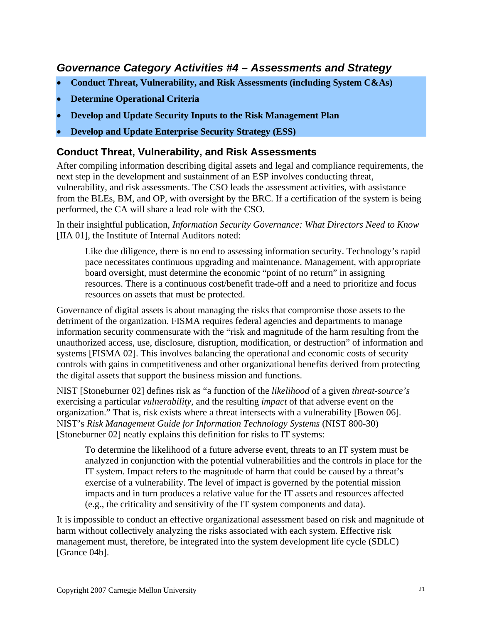# <span id="page-20-0"></span>*Governance Category Activities #4 – Assessments and Strategy*

- **Conduct Threat, Vulnerability, and Risk Assessments (including System C&As)**
- **Determine Operational Criteria**
- **Develop and Update Security Inputs to the Risk Management Plan**
- **Develop and Update Enterprise Security Strategy (ESS)**

#### **Conduct Threat, Vulnerability, and Risk Assessments**

After compiling information describing digital assets and legal and compliance requirements, the next step in the development and sustainment of an ESP involves conducting threat, vulnerability, and risk assessments. The CSO leads the assessment activities, with assistance from the BLEs, BM, and OP, with oversight by the BRC. If a certification of the system is being performed, the CA will share a lead role with the CSO.

In their insightful publication, *Information Security Governance: What Directors Need to Know*  [IIA 01], the Institute of Internal Auditors noted:

Like due diligence, there is no end to assessing information security. Technology's rapid pace necessitates continuous upgrading and maintenance. Management, with appropriate board oversight, must determine the economic "point of no return" in assigning resources. There is a continuous cost/benefit trade-off and a need to prioritize and focus resources on assets that must be protected.

Governance of digital assets is about managing the risks that compromise those assets to the detriment of the organization. FISMA requires federal agencies and departments to manage information security commensurate with the "risk and magnitude of the harm resulting from the unauthorized access, use, disclosure, disruption, modification, or destruction" of information and systems [FISMA 02]. This involves balancing the operational and economic costs of security controls with gains in competitiveness and other organizational benefits derived from protecting the digital assets that support the business mission and functions.

NIST [Stoneburner 02] defines risk as "a function of the *likelihood* of a given *threat-source's* exercising a particular *vulnerability*, and the resulting *impact* of that adverse event on the organization." That is, risk exists where a threat intersects with a vulnerability [Bowen 06]. NIST's *Risk Management Guide for Information Technology Systems* (NIST 800-30) [Stoneburner 02] neatly explains this definition for risks to IT systems:

To determine the likelihood of a future adverse event, threats to an IT system must be analyzed in conjunction with the potential vulnerabilities and the controls in place for the IT system. Impact refers to the magnitude of harm that could be caused by a threat's exercise of a vulnerability. The level of impact is governed by the potential mission impacts and in turn produces a relative value for the IT assets and resources affected (e.g., the criticality and sensitivity of the IT system components and data).

It is impossible to conduct an effective organizational assessment based on risk and magnitude of harm without collectively analyzing the risks associated with each system. Effective risk management must, therefore, be integrated into the system development life cycle (SDLC) [Grance 04b].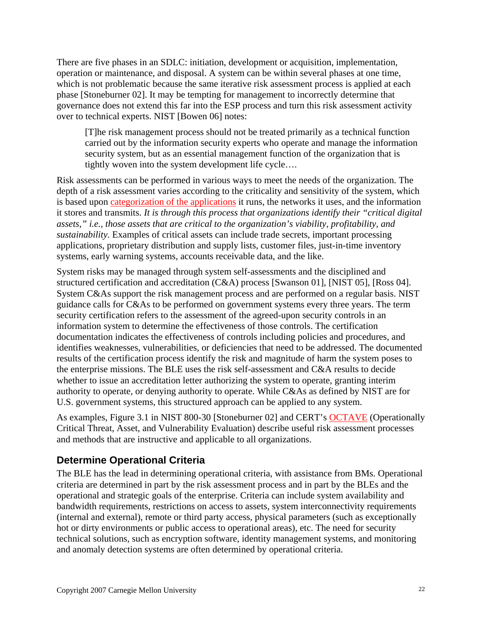There are five phases in an SDLC: initiation, development or acquisition, implementation, operation or maintenance, and disposal. A system can be within several phases at one time, which is not problematic because the same iterative risk assessment process is applied at each phase [Stoneburner 02]. It may be tempting for management to incorrectly determine that governance does not extend this far into the ESP process and turn this risk assessment activity over to technical experts. NIST [Bowen 06] notes:

<span id="page-21-0"></span>[T]he risk management process should not be treated primarily as a technical function carried out by the information security experts who operate and manage the information security system, but as an essential management function of the organization that is tightly woven into the system development life cycle….

Risk assessments can be performed in various ways to meet the needs of the organization. The depth of a risk assessment varies according to the criticality and sensitivity of the system, which is based upon [categorization of the applications](#page-22-1) it runs, the networks it uses, and the information it stores and transmits. *It is through this process that organizations identify their "critical digital assets," i.e., those assets that are critical to the organization's viability, profitability, and sustainability.* Examples of critical assets can include trade secrets, important processing applications, proprietary distribution and supply lists, customer files, just-in-time inventory systems, early warning systems, accounts receivable data, and the like.

System risks may be managed through system self-assessments and the disciplined and structured certification and accreditation (C&A) process [Swanson 01], [NIST 05], [Ross 04]. System C&As support the risk management process and are performed on a regular basis. NIST guidance calls for C&As to be performed on government systems every three years. The term security certification refers to the assessment of the agreed-upon security controls in an information system to determine the effectiveness of those controls. The certification documentation indicates the effectiveness of controls including policies and procedures, and identifies weaknesses, vulnerabilities, or deficiencies that need to be addressed. The documented results of the certification process identify the risk and magnitude of harm the system poses to the enterprise missions. The BLE uses the risk self-assessment and C&A results to decide whether to issue an accreditation letter authorizing the system to operate, granting interim authority to operate, or denying authority to operate. While C&As as defined by NIST are for U.S. government systems, this structured approach can be applied to any system.

As examples, Figure 3.1 in NIST 800-30 [Stoneburner 02] and CERT's **OCTAVE** (Operationally Critical Threat, Asset, and Vulnerability Evaluation) describe useful risk assessment processes and methods that are instructive and applicable to all organizations.

# **Determine Operational Criteria**

The BLE has the lead in determining operational criteria, with assistance from BMs. Operational criteria are determined in part by the risk assessment process and in part by the BLEs and the operational and strategic goals of the enterprise. Criteria can include system availability and bandwidth requirements, restrictions on access to assets, system interconnectivity requirements (internal and external), remote or third party access, physical parameters (such as exceptionally hot or dirty environments or public access to operational areas), etc. The need for security technical solutions, such as encryption software, identity management systems, and monitoring and anomaly detection systems are often determined by operational criteria.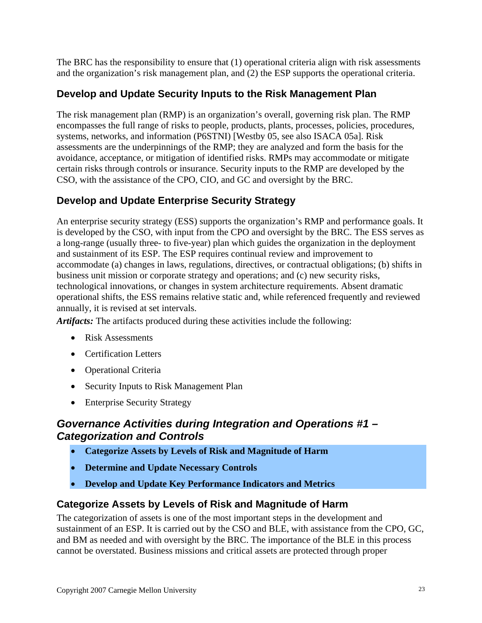<span id="page-22-1"></span><span id="page-22-0"></span>The BRC has the responsibility to ensure that (1) operational criteria align with risk assessments and the organization's risk management plan, and (2) the ESP supports the operational criteria.

# **Develop and Update Security Inputs to the Risk Management Plan**

The risk management plan (RMP) is an organization's overall, governing risk plan. The RMP encompasses the full range of risks to people, products, plants, processes, policies, procedures, systems, networks, and information (P6STNI) [Westby 05, see also ISACA 05a]. Risk assessments are the underpinnings of the RMP; they are analyzed and form the basis for the avoidance, acceptance, or mitigation of identified risks. RMPs may accommodate or mitigate certain risks through controls or insurance. Security inputs to the RMP are developed by the CSO, with the assistance of the CPO, CIO, and GC and oversight by the BRC.

## **Develop and Update Enterprise Security Strategy**

An enterprise security strategy (ESS) supports the organization's RMP and performance goals. It is developed by the CSO, with input from the CPO and oversight by the BRC. The ESS serves as a long-range (usually three- to five-year) plan which guides the organization in the deployment and sustainment of its ESP. The ESP requires continual review and improvement to accommodate (a) changes in laws, regulations, directives, or contractual obligations; (b) shifts in business unit mission or corporate strategy and operations; and (c) new security risks, technological innovations, or changes in system architecture requirements. Absent dramatic operational shifts, the ESS remains relative static and, while referenced frequently and reviewed annually, it is revised at set intervals.

*Artifacts:* The artifacts produced during these activities include the following:

- Risk Assessments
- Certification Letters
- Operational Criteria
- Security Inputs to Risk Management Plan
- Enterprise Security Strategy

## *Governance Activities during Integration and Operations #1 – Categorization and Controls*

- **Categorize Assets by Levels of Risk and Magnitude of Harm**
- **Determine and Update Necessary Controls**
- **Develop and Update Key Performance Indicators and Metrics**

#### **Categorize Assets by Levels of Risk and Magnitude of Harm**

The categorization of assets is one of the most important steps in the development and sustainment of an ESP. It is carried out by the CSO and BLE, with assistance from the CPO, GC, and BM as needed and with oversight by the BRC. The importance of the BLE in this process cannot be overstated. Business missions and critical assets are protected through proper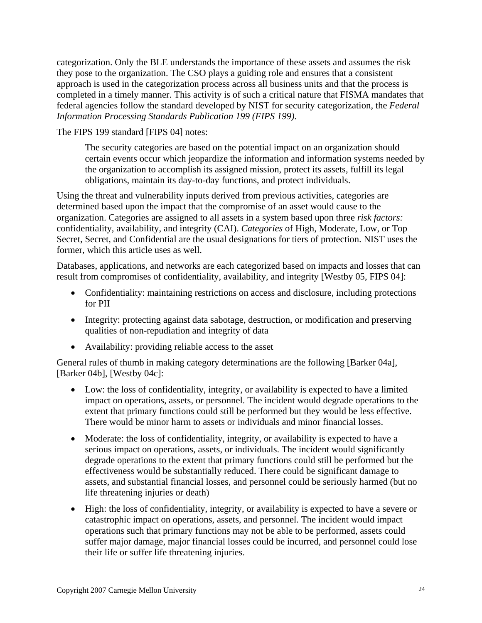categorization. Only the BLE understands the importance of these assets and assumes the risk they pose to the organization. The CSO plays a guiding role and ensures that a consistent approach is used in the categorization process across all business units and that the process is completed in a timely manner. This activity is of such a critical nature that FISMA mandates that federal agencies follow the standard developed by NIST for security categorization, the *Federal Information Processing Standards Publication 199 (FIPS 199)*.

The FIPS 199 standard [FIPS 04] notes:

The security categories are based on the potential impact on an organization should certain events occur which jeopardize the information and information systems needed by the organization to accomplish its assigned mission, protect its assets, fulfill its legal obligations, maintain its day-to-day functions, and protect individuals.

Using the threat and vulnerability inputs derived from previous activities, categories are determined based upon the impact that the compromise of an asset would cause to the organization. Categories are assigned to all assets in a system based upon three *risk factors:* confidentiality, availability, and integrity (CAI). *Categories* of High, Moderate, Low, or Top Secret, Secret, and Confidential are the usual designations for tiers of protection. NIST uses the former, which this article uses as well.

Databases, applications, and networks are each categorized based on impacts and losses that can result from compromises of confidentiality, availability, and integrity [Westby 05, FIPS 04]:

- Confidentiality: maintaining restrictions on access and disclosure, including protections for PII
- Integrity: protecting against data sabotage, destruction, or modification and preserving qualities of non-repudiation and integrity of data
- Availability: providing reliable access to the asset

General rules of thumb in making category determinations are the following [Barker 04a], [Barker 04b], [Westby 04c]:

- Low: the loss of confidentiality, integrity, or availability is expected to have a limited impact on operations, assets, or personnel. The incident would degrade operations to the extent that primary functions could still be performed but they would be less effective. There would be minor harm to assets or individuals and minor financial losses.
- Moderate: the loss of confidentiality, integrity, or availability is expected to have a serious impact on operations, assets, or individuals. The incident would significantly degrade operations to the extent that primary functions could still be performed but the effectiveness would be substantially reduced. There could be significant damage to assets, and substantial financial losses, and personnel could be seriously harmed (but no life threatening injuries or death)
- High: the loss of confidentiality, integrity, or availability is expected to have a severe or catastrophic impact on operations, assets, and personnel. The incident would impact operations such that primary functions may not be able to be performed, assets could suffer major damage, major financial losses could be incurred, and personnel could lose their life or suffer life threatening injuries.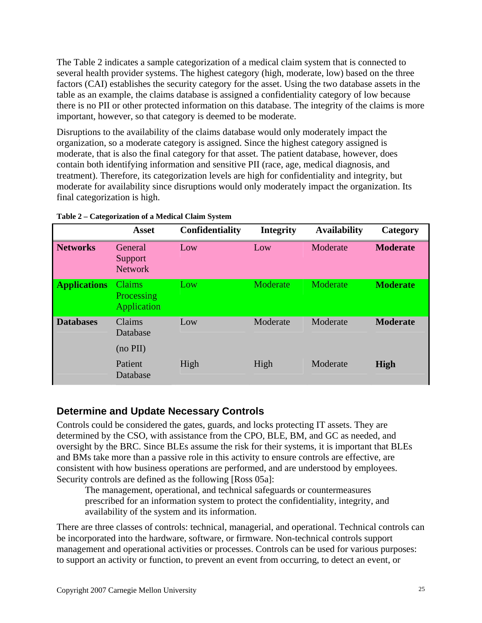<span id="page-24-0"></span>The Table 2 indicates a sample categorization of a medical claim system that is connected to several health provider systems. The highest category (high, moderate, low) based on the three factors (CAI) establishes the security category for the asset. Using the two database assets in the table as an example, the claims database is assigned a confidentiality category of low because there is no PII or other protected information on this database. The integrity of the claims is more important, however, so that category is deemed to be moderate.

Disruptions to the availability of the claims database would only moderately impact the organization, so a moderate category is assigned. Since the highest category assigned is moderate, that is also the final category for that asset. The patient database, however, does contain both identifying information and sensitive PII (race, age, medical diagnosis, and treatment). Therefore, its categorization levels are high for confidentiality and integrity, but moderate for availability since disruptions would only moderately impact the organization. Its final categorization is high.

|                     | <b>Asset</b>                               | <b>Confidentiality</b> | <b>Integrity</b> | <b>Availability</b> | Category        |
|---------------------|--------------------------------------------|------------------------|------------------|---------------------|-----------------|
| <b>Networks</b>     | General<br>Support<br><b>Network</b>       | Low                    | Low              | Moderate            | <b>Moderate</b> |
| <b>Applications</b> | <b>Claims</b><br>Processing<br>Application | Low                    | Moderate         | Moderate            | <b>Moderate</b> |
| <b>Databases</b>    | Claims<br>Database<br>$(no$ PII $)$        | Low                    | Moderate         | Moderate            | <b>Moderate</b> |
|                     | Patient<br>Database                        | High                   | High             | Moderate            | <b>High</b>     |

| Table 2 - Categorization of a Medical Claim System |
|----------------------------------------------------|
|                                                    |

#### **Determine and Update Necessary Controls**

Controls could be considered the gates, guards, and locks protecting IT assets. They are determined by the CSO, with assistance from the CPO, BLE, BM, and GC as needed, and oversight by the BRC. Since BLEs assume the risk for their systems, it is important that BLEs and BMs take more than a passive role in this activity to ensure controls are effective, are consistent with how business operations are performed, and are understood by employees. Security controls are defined as the following [Ross 05a]:

The management, operational, and technical safeguards or countermeasures prescribed for an information system to protect the confidentiality, integrity, and availability of the system and its information.

There are three classes of controls: technical, managerial, and operational. Technical controls can be incorporated into the hardware, software, or firmware. Non-technical controls support management and operational activities or processes. Controls can be used for various purposes: to support an activity or function, to prevent an event from occurring, to detect an event, or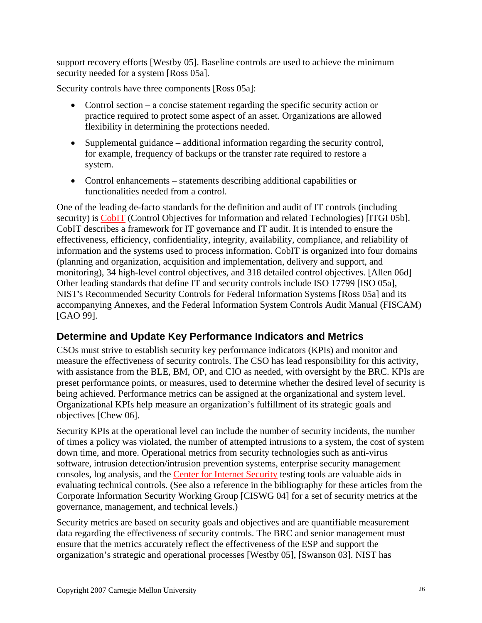support recovery efforts [Westby 05]. Baseline controls are used to achieve the minimum security needed for a system [Ross 05a].

Security controls have three components [Ross 05a]:

- <span id="page-25-0"></span>• Control section – a concise statement regarding the specific security action or practice required to protect some aspect of an asset. Organizations are allowed flexibility in determining the protections needed.
- Supplemental guidance additional information regarding the security control, for example, frequency of backups or the transfer rate required to restore a system.
- Control enhancements statements describing additional capabilities or functionalities needed from a control.

One of the leading de-facto standards for the definition and audit of IT controls (including security) is [CobIT](http://en.wikipedia.org/wiki/COBIT) (Control Objectives for Information and related Technologies) [ITGI 05b]. CobIT describes a framework for IT governance and IT audit. It is intended to ensure the effectiveness, efficiency, confidentiality, integrity, availability, compliance, and reliability of information and the systems used to process information. CobIT is organized into four domains (planning and organization, acquisition and implementation, delivery and support, and monitoring), 34 high-level control objectives, and 318 detailed control objectives. [Allen 06d] Other leading standards that define IT and security controls include ISO 17799 [ISO 05a], NIST's Recommended Security Controls for Federal Information Systems [Ross 05a] and its accompanying Annexes, and the Federal Information System Controls Audit Manual (FISCAM) [GAO 99].

### **Determine and Update Key Performance Indicators and Metrics**

CSOs must strive to establish security key performance indicators (KPIs) and monitor and measure the effectiveness of security controls. The CSO has lead responsibility for this activity, with assistance from the BLE, BM, OP, and CIO as needed, with oversight by the BRC. KPIs are preset performance points, or measures, used to determine whether the desired level of security is being achieved. Performance metrics can be assigned at the organizational and system level. Organizational KPIs help measure an organization's fulfillment of its strategic goals and objectives [Chew 06].

Security KPIs at the operational level can include the number of security incidents, the number of times a policy was violated, the number of attempted intrusions to a system, the cost of system down time, and more. Operational metrics from security technologies such as anti-virus software, intrusion detection/intrusion prevention systems, enterprise security management consoles, log analysis, and the [Center for Internet Security](http://www.cisecurity.org/) testing tools are valuable aids in evaluating technical controls. (See also a reference in the bibliography for these articles from the Corporate Information Security Working Group [CISWG 04] for a set of security metrics at the governance, management, and technical levels.)

Security metrics are based on security goals and objectives and are quantifiable measurement data regarding the effectiveness of security controls. The BRC and senior management must ensure that the metrics accurately reflect the effectiveness of the ESP and support the organization's strategic and operational processes [Westby 05], [Swanson 03]. NIST has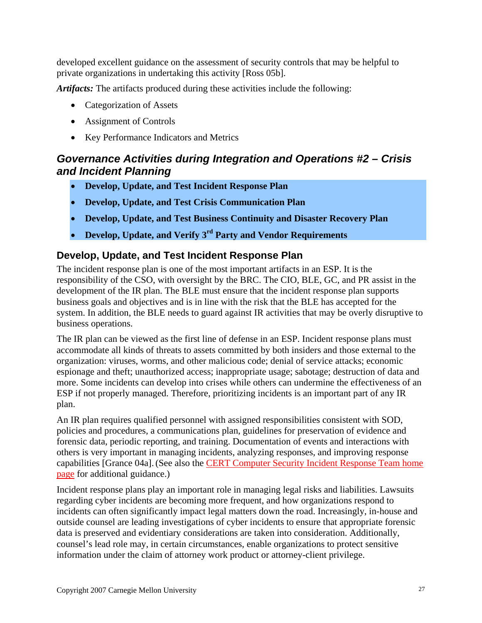developed excellent guidance on the assessment of security controls that may be helpful to private organizations in undertaking this activity [Ross 05b].

*Artifacts:* The artifacts produced during these activities include the following:

- <span id="page-26-0"></span>• Categorization of Assets
- Assignment of Controls
- Key Performance Indicators and Metrics

# *Governance Activities during Integration and Operations #2 – Crisis and Incident Planning*

- **Develop, Update, and Test Incident Response Plan**
- **Develop, Update, and Test Crisis Communication Plan**
- **Develop, Update, and Test Business Continuity and Disaster Recovery Plan**
- **Develop, Update, and Verify 3rd Party and Vendor Requirements**

#### **Develop, Update, and Test Incident Response Plan**

The incident response plan is one of the most important artifacts in an ESP. It is the responsibility of the CSO, with oversight by the BRC. The CIO, BLE, GC, and PR assist in the development of the IR plan. The BLE must ensure that the incident response plan supports business goals and objectives and is in line with the risk that the BLE has accepted for the system. In addition, the BLE needs to guard against IR activities that may be overly disruptive to business operations.

The IR plan can be viewed as the first line of defense in an ESP. Incident response plans must accommodate all kinds of threats to assets committed by both insiders and those external to the organization: viruses, worms, and other malicious code; denial of service attacks; economic espionage and theft; unauthorized access; inappropriate usage; sabotage; destruction of data and more. Some incidents can develop into crises while others can undermine the effectiveness of an ESP if not properly managed. Therefore, prioritizing incidents is an important part of any IR plan.

An IR plan requires qualified personnel with assigned responsibilities consistent with SOD, policies and procedures, a communications plan, guidelines for preservation of evidence and forensic data, periodic reporting, and training. Documentation of events and interactions with others is very important in managing incidents, analyzing responses, and improving response capabilities [Grance 04a].(See also the [CERT Computer Security Incident Response Team home](http://www.cert.org/csirts/)  [page](http://www.cert.org/csirts/) for additional guidance.)

Incident response plans play an important role in managing legal risks and liabilities. Lawsuits regarding cyber incidents are becoming more frequent, and how organizations respond to incidents can often significantly impact legal matters down the road. Increasingly, in-house and outside counsel are leading investigations of cyber incidents to ensure that appropriate forensic data is preserved and evidentiary considerations are taken into consideration. Additionally, counsel's lead role may, in certain circumstances, enable organizations to protect sensitive information under the claim of attorney work product or attorney-client privilege.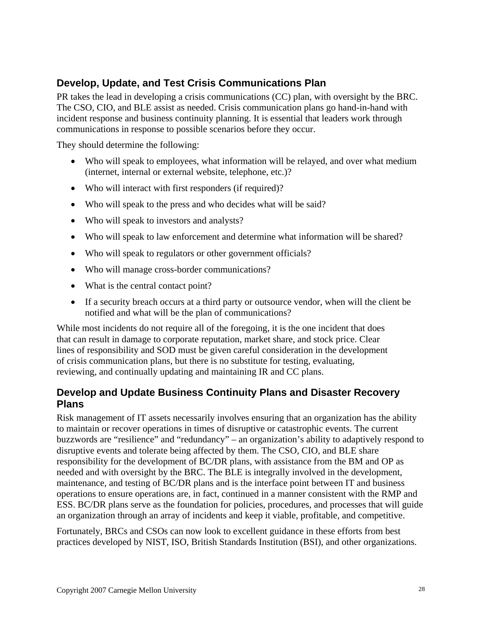## <span id="page-27-0"></span>**Develop, Update, and Test Crisis Communications Plan**

PR takes the lead in developing a crisis communications (CC) plan, with oversight by the BRC. The CSO, CIO, and BLE assist as needed. Crisis communication plans go hand-in-hand with incident response and business continuity planning. It is essential that leaders work through communications in response to possible scenarios before they occur.

They should determine the following:

- Who will speak to employees, what information will be relayed, and over what medium (internet, internal or external website, telephone, etc.)?
- Who will interact with first responders (if required)?
- Who will speak to the press and who decides what will be said?
- Who will speak to investors and analysts?
- Who will speak to law enforcement and determine what information will be shared?
- Who will speak to regulators or other government officials?
- Who will manage cross-border communications?
- What is the central contact point?
- If a security breach occurs at a third party or outsource vendor, when will the client be notified and what will be the plan of communications?

While most incidents do not require all of the foregoing, it is the one incident that does that can result in damage to corporate reputation, market share, and stock price. Clear lines of responsibility and SOD must be given careful consideration in the development of crisis communication plans, but there is no substitute for testing, evaluating, reviewing, and continually updating and maintaining IR and CC plans.

### **Develop and Update Business Continuity Plans and Disaster Recovery Plans**

Risk management of IT assets necessarily involves ensuring that an organization has the ability to maintain or recover operations in times of disruptive or catastrophic events. The current buzzwords are "resilience" and "redundancy" – an organization's ability to adaptively respond to disruptive events and tolerate being affected by them. The CSO, CIO, and BLE share responsibility for the development of BC/DR plans, with assistance from the BM and OP as needed and with oversight by the BRC. The BLE is integrally involved in the development, maintenance, and testing of BC/DR plans and is the interface point between IT and business operations to ensure operations are, in fact, continued in a manner consistent with the RMP and ESS. BC/DR plans serve as the foundation for policies, procedures, and processes that will guide an organization through an array of incidents and keep it viable, profitable, and competitive.

Fortunately, BRCs and CSOs can now look to excellent guidance in these efforts from best practices developed by NIST, ISO, British Standards Institution (BSI), and other organizations.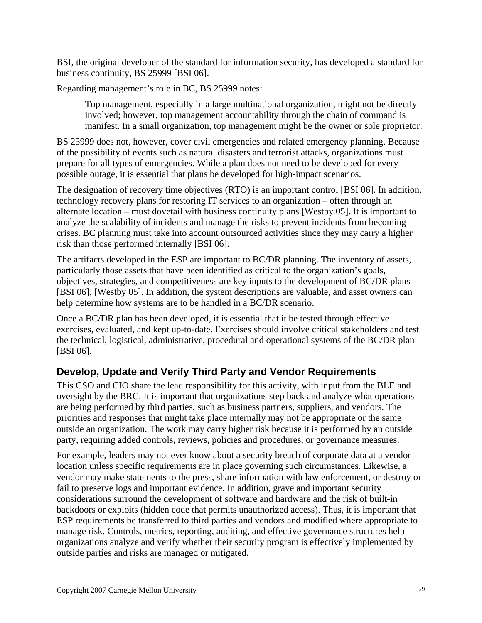BSI, the original developer of the standard for information security, has developed a standard for business continuity, BS 25999 [BSI 06].

Regarding management's role in BC, BS 25999 notes:

<span id="page-28-0"></span>Top management, especially in a large multinational organization, might not be directly involved; however, top management accountability through the chain of command is manifest. In a small organization, top management might be the owner or sole proprietor.

BS 25999 does not, however, cover civil emergencies and related emergency planning. Because of the possibility of events such as natural disasters and terrorist attacks, organizations must prepare for all types of emergencies. While a plan does not need to be developed for every possible outage, it is essential that plans be developed for high-impact scenarios.

The designation of recovery time objectives (RTO) is an important control [BSI 06]. In addition, technology recovery plans for restoring IT services to an organization – often through an alternate location – must dovetail with business continuity plans [Westby 05]. It is important to analyze the scalability of incidents and manage the risks to prevent incidents from becoming crises. BC planning must take into account outsourced activities since they may carry a higher risk than those performed internally [BSI 06].

The artifacts developed in the ESP are important to BC/DR planning. The inventory of assets, particularly those assets that have been identified as critical to the organization's goals, objectives, strategies, and competitiveness are key inputs to the development of BC/DR plans [BSI 06], [Westby 05]. In addition, the system descriptions are valuable, and asset owners can help determine how systems are to be handled in a BC/DR scenario.

Once a BC/DR plan has been developed, it is essential that it be tested through effective exercises, evaluated, and kept up-to-date. Exercises should involve critical stakeholders and test the technical, logistical, administrative, procedural and operational systems of the BC/DR plan [BSI 06].

# **Develop, Update and Verify Third Party and Vendor Requirements**

This CSO and CIO share the lead responsibility for this activity, with input from the BLE and oversight by the BRC. It is important that organizations step back and analyze what operations are being performed by third parties, such as business partners, suppliers, and vendors. The priorities and responses that might take place internally may not be appropriate or the same outside an organization. The work may carry higher risk because it is performed by an outside party, requiring added controls, reviews, policies and procedures, or governance measures.

For example, leaders may not ever know about a security breach of corporate data at a vendor location unless specific requirements are in place governing such circumstances. Likewise, a vendor may make statements to the press, share information with law enforcement, or destroy or fail to preserve logs and important evidence. In addition, grave and important security considerations surround the development of software and hardware and the risk of built-in backdoors or exploits (hidden code that permits unauthorized access). Thus, it is important that ESP requirements be transferred to third parties and vendors and modified where appropriate to manage risk. Controls, metrics, reporting, auditing, and effective governance structures help organizations analyze and verify whether their security program is effectively implemented by outside parties and risks are managed or mitigated.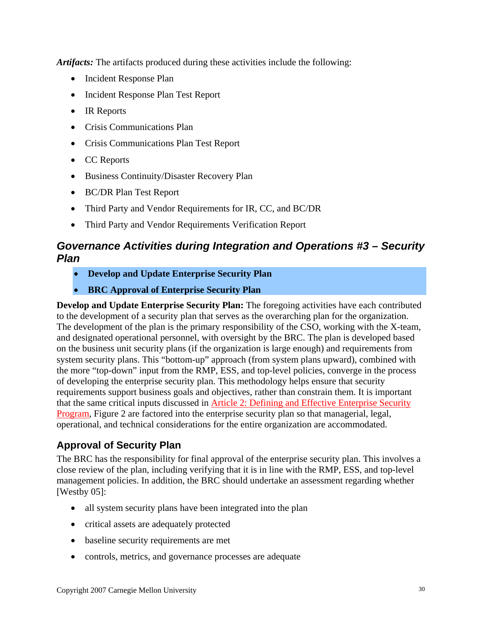*Artifacts:* The artifacts produced during these activities include the following:

- <span id="page-29-0"></span>• Incident Response Plan
- Incident Response Plan Test Report
- IR Reports
- Crisis Communications Plan
- Crisis Communications Plan Test Report
- CC Reports
- Business Continuity/Disaster Recovery Plan
- BC/DR Plan Test Report
- Third Party and Vendor Requirements for IR, CC, and BC/DR
- Third Party and Vendor Requirements Verification Report

# *Governance Activities during Integration and Operations #3 – Security Plan*

- **Develop and Update Enterprise Security Plan**
- **BRC Approval of Enterprise Security Plan**

**Develop and Update Enterprise Security Plan:** The foregoing activities have each contributed to the development of a security plan that serves as the overarching plan for the organization. The development of the plan is the primary responsibility of the CSO, working with the X-team, and designated operational personnel, with oversight by the BRC. The plan is developed based on the business unit security plans (if the organization is large enough) and requirements from system security plans. This "bottom-up" approach (from system plans upward), combined with the more "top-down" input from the RMP, ESS, and top-level policies, converge in the process of developing the enterprise security plan. This methodology helps ensure that security requirements support business goals and objectives, rather than constrain them. It is important that the same critical inputs discussed in [Article 2: Defining and Effective Enterprise Security](http://www.cert.org/archive/pdf/GES_IG_2_0703.pdf)  [Program](http://www.cert.org/archive/pdf/GES_IG_2_0703.pdf), Figure 2 are factored into the enterprise security plan so that managerial, legal, operational, and technical considerations for the entire organization are accommodated.

### **Approval of Security Plan**

The BRC has the responsibility for final approval of the enterprise security plan. This involves a close review of the plan, including verifying that it is in line with the RMP, ESS, and top-level management policies. In addition, the BRC should undertake an assessment regarding whether [Westby 05]:

- all system security plans have been integrated into the plan
- critical assets are adequately protected
- baseline security requirements are met
- controls, metrics, and governance processes are adequate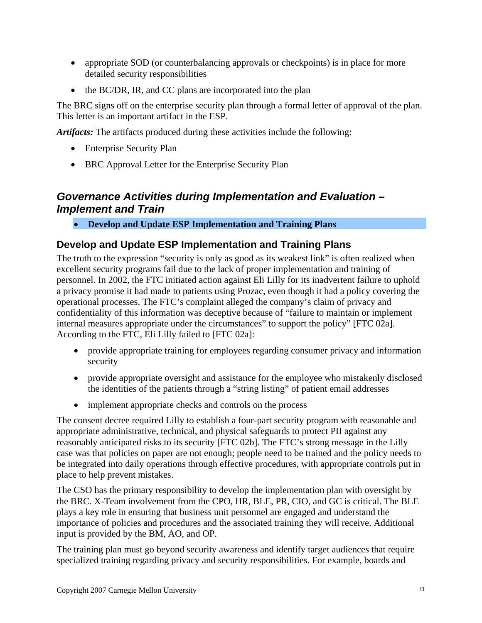- <span id="page-30-0"></span>• appropriate SOD (or counterbalancing approvals or checkpoints) is in place for more detailed security responsibilities
- the BC/DR, IR, and CC plans are incorporated into the plan

The BRC signs off on the enterprise security plan through a formal letter of approval of the plan. This letter is an important artifact in the ESP.

*Artifacts:* The artifacts produced during these activities include the following:

- Enterprise Security Plan
- BRC Approval Letter for the Enterprise Security Plan

# *Governance Activities during Implementation and Evaluation – Implement and Train*

• **Develop and Update ESP Implementation and Training Plans** 

#### **Develop and Update ESP Implementation and Training Plans**

The truth to the expression "security is only as good as its weakest link" is often realized when excellent security programs fail due to the lack of proper implementation and training of personnel. In 2002, the FTC initiated action against Eli Lilly for its inadvertent failure to uphold a privacy promise it had made to patients using Prozac, even though it had a policy covering the operational processes. The FTC's complaint alleged the company's claim of privacy and confidentiality of this information was deceptive because of "failure to maintain or implement internal measures appropriate under the circumstances" to support the policy" [FTC 02a]. According to the FTC, Eli Lilly failed to [FTC 02a]:

- provide appropriate training for employees regarding consumer privacy and information security
- provide appropriate oversight and assistance for the employee who mistakenly disclosed the identities of the patients through a "string listing" of patient email addresses
- implement appropriate checks and controls on the process

The consent decree required Lilly to establish a four-part security program with reasonable and appropriate administrative, technical, and physical safeguards to protect PII against any reasonably anticipated risks to its security [FTC 02b]. The FTC's strong message in the Lilly case was that policies on paper are not enough; people need to be trained and the policy needs to be integrated into daily operations through effective procedures, with appropriate controls put in place to help prevent mistakes.

The CSO has the primary responsibility to develop the implementation plan with oversight by the BRC. X-Team involvement from the CPO, HR, BLE, PR, CIO, and GC is critical. The BLE plays a key role in ensuring that business unit personnel are engaged and understand the importance of policies and procedures and the associated training they will receive. Additional input is provided by the BM, AO, and OP.

The training plan must go beyond security awareness and identify target audiences that require specialized training regarding privacy and security responsibilities. For example, boards and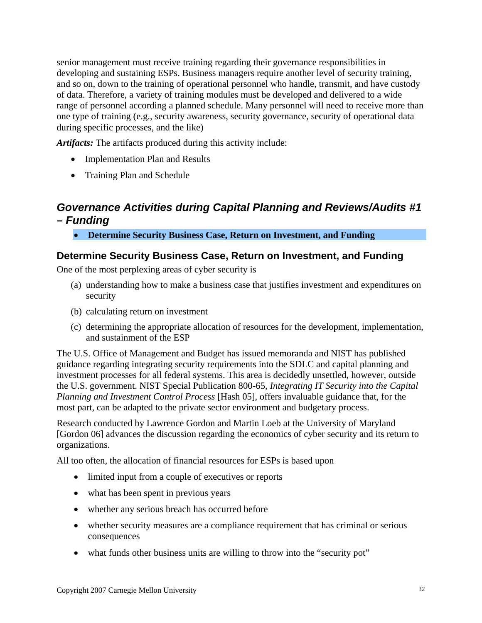<span id="page-31-0"></span>senior management must receive training regarding their governance responsibilities in developing and sustaining ESPs. Business managers require another level of security training, and so on, down to the training of operational personnel who handle, transmit, and have custody of data. Therefore, a variety of training modules must be developed and delivered to a wide range of personnel according a planned schedule. Many personnel will need to receive more than one type of training (e.g., security awareness, security governance, security of operational data during specific processes, and the like)

*Artifacts:* The artifacts produced during this activity include:

- Implementation Plan and Results
- Training Plan and Schedule

## *Governance Activities during Capital Planning and Reviews/Audits #1 – Funding*

• **Determine Security Business Case, Return on Investment, and Funding** 

#### **Determine Security Business Case, Return on Investment, and Funding**

One of the most perplexing areas of cyber security is

- (a) understanding how to make a business case that justifies investment and expenditures on security
- (b) calculating return on investment
- (c) determining the appropriate allocation of resources for the development, implementation, and sustainment of the ESP

The U.S. Office of Management and Budget has issued memoranda and NIST has published guidance regarding integrating security requirements into the SDLC and capital planning and investment processes for all federal systems. This area is decidedly unsettled, however, outside the U.S. government. NIST Special Publication 800-65, *Integrating IT Security into the Capital Planning and Investment Control Process* [Hash 05], offers invaluable guidance that, for the most part, can be adapted to the private sector environment and budgetary process.

Research conducted by Lawrence Gordon and Martin Loeb at the University of Maryland [Gordon 06] advances the discussion regarding the economics of cyber security and its return to organizations.

All too often, the allocation of financial resources for ESPs is based upon

- limited input from a couple of executives or reports
- what has been spent in previous years
- whether any serious breach has occurred before
- whether security measures are a compliance requirement that has criminal or serious consequences
- what funds other business units are willing to throw into the "security pot"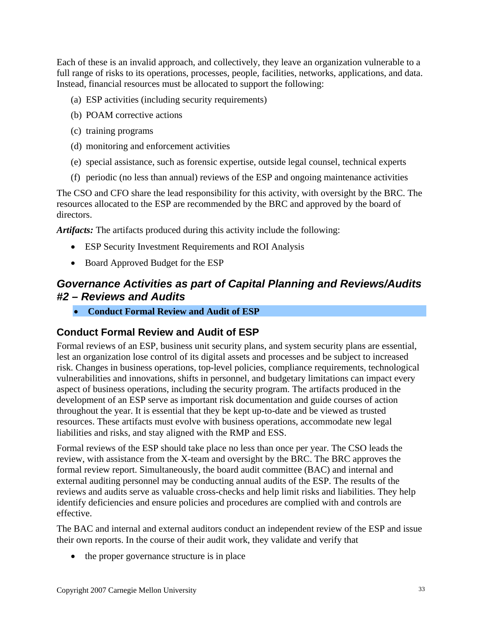Each of these is an invalid approach, and collectively, they leave an organization vulnerable to a full range of risks to its operations, processes, people, facilities, networks, applications, and data. Instead, financial resources must be allocated to support the following:

- <span id="page-32-0"></span>(a) ESP activities (including security requirements)
- (b) POAM corrective actions
- (c) training programs
- (d) monitoring and enforcement activities
- (e) special assistance, such as forensic expertise, outside legal counsel, technical experts
- (f) periodic (no less than annual) reviews of the ESP and ongoing maintenance activities

The CSO and CFO share the lead responsibility for this activity, with oversight by the BRC. The resources allocated to the ESP are recommended by the BRC and approved by the board of directors.

*Artifacts:* The artifacts produced during this activity include the following:

- ESP Security Investment Requirements and ROI Analysis
- Board Approved Budget for the ESP

# *Governance Activities as part of Capital Planning and Reviews/Audits #2 – Reviews and Audits*

• **Conduct Formal Review and Audit of ESP** 

### **Conduct Formal Review and Audit of ESP**

Formal reviews of an ESP, business unit security plans, and system security plans are essential, lest an organization lose control of its digital assets and processes and be subject to increased risk. Changes in business operations, top-level policies, compliance requirements, technological vulnerabilities and innovations, shifts in personnel, and budgetary limitations can impact every aspect of business operations, including the security program. The artifacts produced in the development of an ESP serve as important risk documentation and guide courses of action throughout the year. It is essential that they be kept up-to-date and be viewed as trusted resources. These artifacts must evolve with business operations, accommodate new legal liabilities and risks, and stay aligned with the RMP and ESS.

Formal reviews of the ESP should take place no less than once per year. The CSO leads the review, with assistance from the X-team and oversight by the BRC. The BRC approves the formal review report. Simultaneously, the board audit committee (BAC) and internal and external auditing personnel may be conducting annual audits of the ESP. The results of the reviews and audits serve as valuable cross-checks and help limit risks and liabilities. They help identify deficiencies and ensure policies and procedures are complied with and controls are effective.

The BAC and internal and external auditors conduct an independent review of the ESP and issue their own reports. In the course of their audit work, they validate and verify that

• the proper governance structure is in place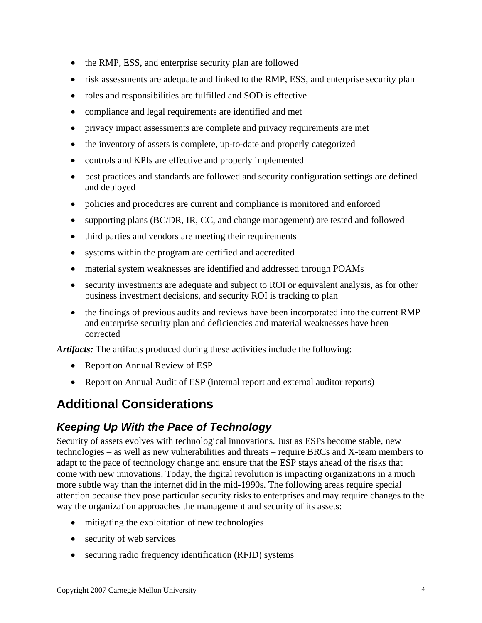- <span id="page-33-0"></span>• the RMP, ESS, and enterprise security plan are followed
- risk assessments are adequate and linked to the RMP, ESS, and enterprise security plan
- roles and responsibilities are fulfilled and SOD is effective
- compliance and legal requirements are identified and met
- privacy impact assessments are complete and privacy requirements are met
- the inventory of assets is complete, up-to-date and properly categorized
- controls and KPIs are effective and properly implemented
- best practices and standards are followed and security configuration settings are defined and deployed
- policies and procedures are current and compliance is monitored and enforced
- supporting plans (BC/DR, IR, CC, and change management) are tested and followed
- third parties and vendors are meeting their requirements
- systems within the program are certified and accredited
- material system weaknesses are identified and addressed through POAMs
- security investments are adequate and subject to ROI or equivalent analysis, as for other business investment decisions, and security ROI is tracking to plan
- the findings of previous audits and reviews have been incorporated into the current RMP and enterprise security plan and deficiencies and material weaknesses have been corrected

*Artifacts:* The artifacts produced during these activities include the following:

- Report on Annual Review of ESP
- Report on Annual Audit of ESP (internal report and external auditor reports)

# **Additional Considerations**

# *Keeping Up With the Pace of Technology*

Security of assets evolves with technological innovations. Just as ESPs become stable, new technologies – as well as new vulnerabilities and threats – require BRCs and X-team members to adapt to the pace of technology change and ensure that the ESP stays ahead of the risks that come with new innovations. Today, the digital revolution is impacting organizations in a much more subtle way than the internet did in the mid-1990s. The following areas require special attention because they pose particular security risks to enterprises and may require changes to the way the organization approaches the management and security of its assets:

- mitigating the exploitation of new technologies
- security of web services
- securing radio frequency identification (RFID) systems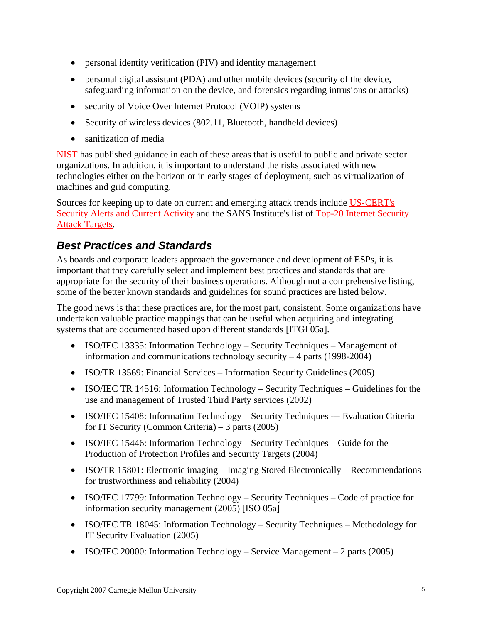- personal identity verification (PIV) and identity management
- personal digital assistant (PDA) and other mobile devices (security of the device, safeguarding information on the device, and forensics regarding intrusions or attacks)
- security of Voice Over Internet Protocol (VOIP) systems
- Security of wireless devices (802.11, Bluetooth, handheld devices)
- sanitization of media

[NIST](http://csrc.nist.gov/publications/nistpubs/index.html) has published guidance in each of these areas that is useful to public and private sector organizations. In addition, it is important to understand the risks associated with new technologies either on the horizon or in early stages of deployment, such as virtualization of machines and grid computing.

Sources for keeping up to date on current and emerging attack trends include US-[CERT's](http://www.us-cert.gov/)  [Security Alerts and Current Activity](http://www.us-cert.gov/) and the SANS Institute's list of [Top-20 Internet Security](http://www.sans.org/top20/)  [Attack Targets.](http://www.sans.org/top20/)

# *Best Practices and Standards*

As boards and corporate leaders approach the governance and development of ESPs, it is important that they carefully select and implement best practices and standards that are appropriate for the security of their business operations. Although not a comprehensive listing, some of the better known standards and guidelines for sound practices are listed below.

The good news is that these practices are, for the most part, consistent. Some organizations have undertaken valuable practice mappings that can be useful when acquiring and integrating systems that are documented based upon different standards [ITGI 05a].

- ISO/IEC 13335: Information Technology Security Techniques Management of information and communications technology security – 4 parts (1998-2004)
- ISO/TR 13569: Financial Services Information Security Guidelines (2005)
- ISO/IEC TR 14516: Information Technology Security Techniques Guidelines for the use and management of Trusted Third Party services (2002)
- ISO/IEC 15408: Information Technology Security Techniques --- Evaluation Criteria for IT Security (Common Criteria) – 3 parts (2005)
- ISO/IEC 15446: Information Technology Security Techniques Guide for the Production of Protection Profiles and Security Targets (2004)
- ISO/TR 15801: Electronic imaging Imaging Stored Electronically Recommendations for trustworthiness and reliability (2004)
- ISO/IEC 17799: Information Technology Security Techniques Code of practice for information security management (2005) [ISO 05a]
- ISO/IEC TR 18045: Information Technology Security Techniques Methodology for IT Security Evaluation (2005)
- ISO/IEC 20000: Information Technology Service Management 2 parts (2005)